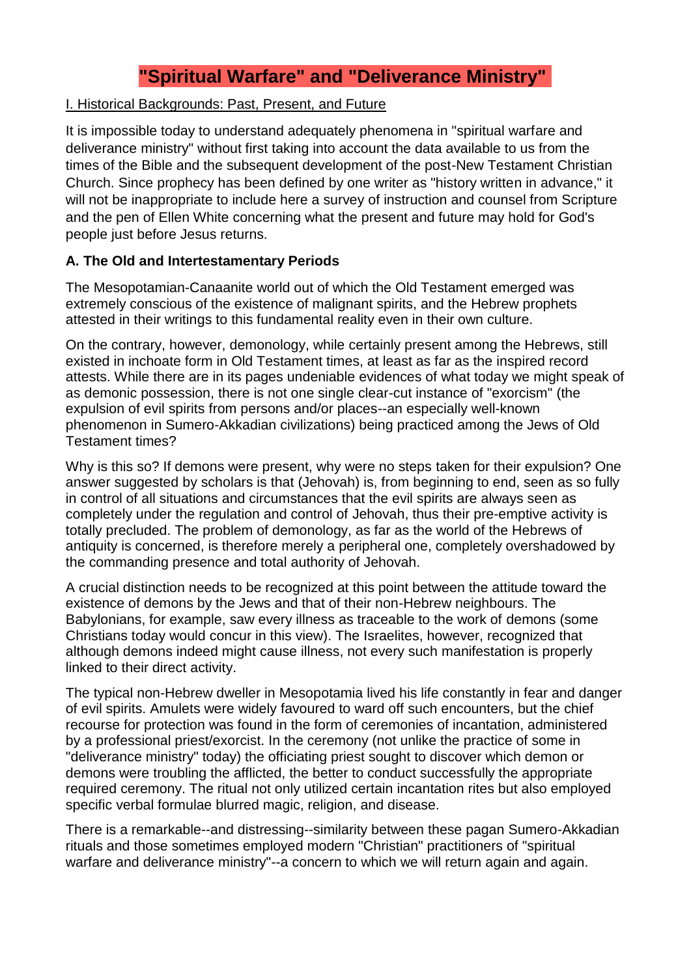# **"Spiritual Warfare" and "Deliverance Ministry"**

### I. Historical Backgrounds: Past, Present, and Future

It is impossible today to understand adequately phenomena in "spiritual warfare and deliverance ministry" without first taking into account the data available to us from the times of the Bible and the subsequent development of the post-New Testament Christian Church. Since prophecy has been defined by one writer as "history written in advance," it will not be inappropriate to include here a survey of instruction and counsel from Scripture and the pen of Ellen White concerning what the present and future may hold for God's people just before Jesus returns.

# **A. The Old and Intertestamentary Periods**

The Mesopotamian-Canaanite world out of which the Old Testament emerged was extremely conscious of the existence of malignant spirits, and the Hebrew prophets attested in their writings to this fundamental reality even in their own culture.

On the contrary, however, demonology, while certainly present among the Hebrews, still existed in inchoate form in Old Testament times, at least as far as the inspired record attests. While there are in its pages undeniable evidences of what today we might speak of as demonic possession, there is not one single clear-cut instance of "exorcism" (the expulsion of evil spirits from persons and/or places--an especially well-known phenomenon in Sumero-Akkadian civilizations) being practiced among the Jews of Old Testament times?

Why is this so? If demons were present, why were no steps taken for their expulsion? One answer suggested by scholars is that (Jehovah) is, from beginning to end, seen as so fully in control of all situations and circumstances that the evil spirits are always seen as completely under the regulation and control of Jehovah, thus their pre-emptive activity is totally precluded. The problem of demonology, as far as the world of the Hebrews of antiquity is concerned, is therefore merely a peripheral one, completely overshadowed by the commanding presence and total authority of Jehovah.

A crucial distinction needs to be recognized at this point between the attitude toward the existence of demons by the Jews and that of their non-Hebrew neighbours. The Babylonians, for example, saw every illness as traceable to the work of demons (some Christians today would concur in this view). The Israelites, however, recognized that although demons indeed might cause illness, not every such manifestation is properly linked to their direct activity.

The typical non-Hebrew dweller in Mesopotamia lived his life constantly in fear and danger of evil spirits. Amulets were widely favoured to ward off such encounters, but the chief recourse for protection was found in the form of ceremonies of incantation, administered by a professional priest/exorcist. In the ceremony (not unlike the practice of some in "deliverance ministry" today) the officiating priest sought to discover which demon or demons were troubling the afflicted, the better to conduct successfully the appropriate required ceremony. The ritual not only utilized certain incantation rites but also employed specific verbal formulae blurred magic, religion, and disease.

There is a remarkable--and distressing--similarity between these pagan Sumero-Akkadian rituals and those sometimes employed modern "Christian" practitioners of "spiritual warfare and deliverance ministry"--a concern to which we will return again and again.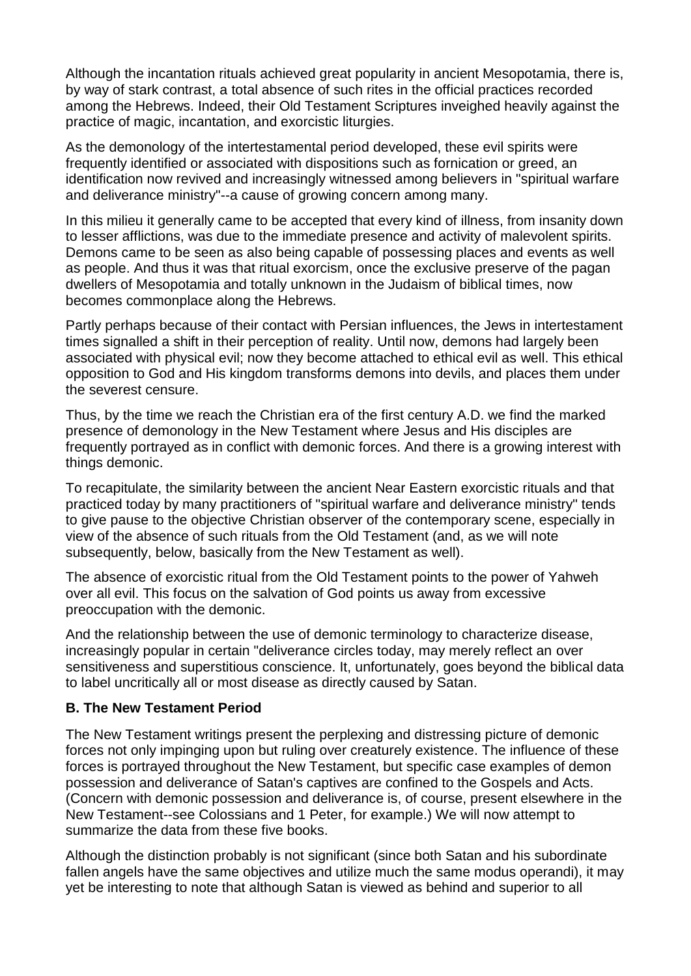Although the incantation rituals achieved great popularity in ancient Mesopotamia, there is, by way of stark contrast, a total absence of such rites in the official practices recorded among the Hebrews. Indeed, their Old Testament Scriptures inveighed heavily against the practice of magic, incantation, and exorcistic liturgies.

As the demonology of the intertestamental period developed, these evil spirits were frequently identified or associated with dispositions such as fornication or greed, an identification now revived and increasingly witnessed among believers in "spiritual warfare and deliverance ministry"--a cause of growing concern among many.

In this milieu it generally came to be accepted that every kind of illness, from insanity down to lesser afflictions, was due to the immediate presence and activity of malevolent spirits. Demons came to be seen as also being capable of possessing places and events as well as people. And thus it was that ritual exorcism, once the exclusive preserve of the pagan dwellers of Mesopotamia and totally unknown in the Judaism of biblical times, now becomes commonplace along the Hebrews.

Partly perhaps because of their contact with Persian influences, the Jews in intertestament times signalled a shift in their perception of reality. Until now, demons had largely been associated with physical evil; now they become attached to ethical evil as well. This ethical opposition to God and His kingdom transforms demons into devils, and places them under the severest censure.

Thus, by the time we reach the Christian era of the first century A.D. we find the marked presence of demonology in the New Testament where Jesus and His disciples are frequently portrayed as in conflict with demonic forces. And there is a growing interest with things demonic.

To recapitulate, the similarity between the ancient Near Eastern exorcistic rituals and that practiced today by many practitioners of "spiritual warfare and deliverance ministry" tends to give pause to the objective Christian observer of the contemporary scene, especially in view of the absence of such rituals from the Old Testament (and, as we will note subsequently, below, basically from the New Testament as well).

The absence of exorcistic ritual from the Old Testament points to the power of Yahweh over all evil. This focus on the salvation of God points us away from excessive preoccupation with the demonic.

And the relationship between the use of demonic terminology to characterize disease, increasingly popular in certain "deliverance circles today, may merely reflect an over sensitiveness and superstitious conscience. It, unfortunately, goes beyond the biblical data to label uncritically all or most disease as directly caused by Satan.

#### **B. The New Testament Period**

The New Testament writings present the perplexing and distressing picture of demonic forces not only impinging upon but ruling over creaturely existence. The influence of these forces is portrayed throughout the New Testament, but specific case examples of demon possession and deliverance of Satan's captives are confined to the Gospels and Acts. (Concern with demonic possession and deliverance is, of course, present elsewhere in the New Testament--see Colossians and 1 Peter, for example.) We will now attempt to summarize the data from these five books.

Although the distinction probably is not significant (since both Satan and his subordinate fallen angels have the same objectives and utilize much the same modus operandi), it may yet be interesting to note that although Satan is viewed as behind and superior to all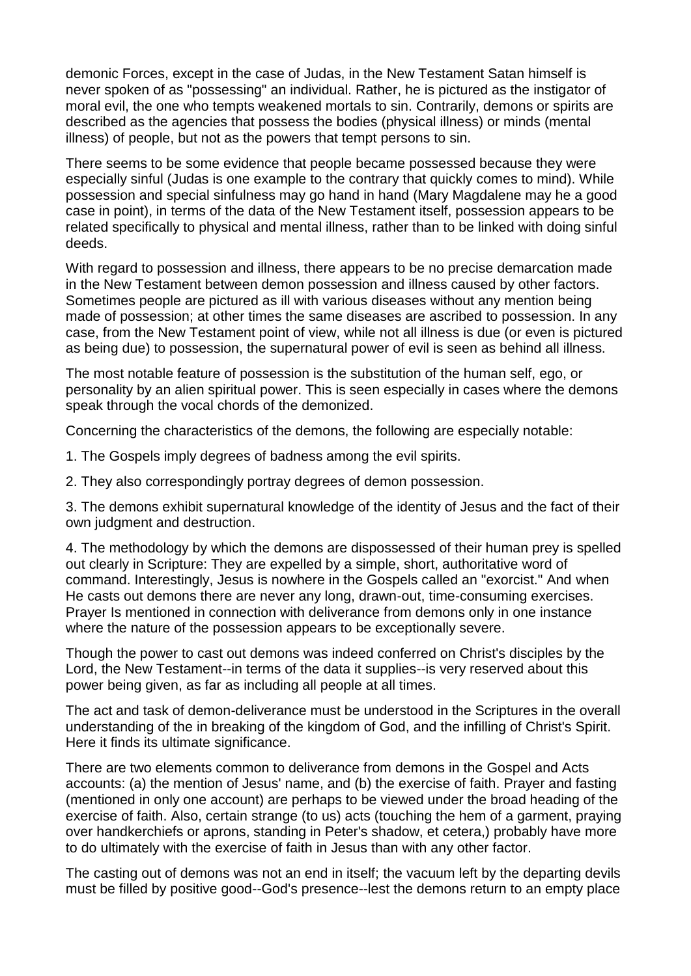demonic Forces, except in the case of Judas, in the New Testament Satan himself is never spoken of as "possessing" an individual. Rather, he is pictured as the instigator of moral evil, the one who tempts weakened mortals to sin. Contrarily, demons or spirits are described as the agencies that possess the bodies (physical illness) or minds (mental illness) of people, but not as the powers that tempt persons to sin.

There seems to be some evidence that people became possessed because they were especially sinful (Judas is one example to the contrary that quickly comes to mind). While possession and special sinfulness may go hand in hand (Mary Magdalene may he a good case in point), in terms of the data of the New Testament itself, possession appears to be related specifically to physical and mental illness, rather than to be linked with doing sinful deeds.

With regard to possession and illness, there appears to be no precise demarcation made in the New Testament between demon possession and illness caused by other factors. Sometimes people are pictured as ill with various diseases without any mention being made of possession; at other times the same diseases are ascribed to possession. In any case, from the New Testament point of view, while not all illness is due (or even is pictured as being due) to possession, the supernatural power of evil is seen as behind all illness.

The most notable feature of possession is the substitution of the human self, ego, or personality by an alien spiritual power. This is seen especially in cases where the demons speak through the vocal chords of the demonized.

Concerning the characteristics of the demons, the following are especially notable:

1. The Gospels imply degrees of badness among the evil spirits.

2. They also correspondingly portray degrees of demon possession.

3. The demons exhibit supernatural knowledge of the identity of Jesus and the fact of their own judgment and destruction.

4. The methodology by which the demons are dispossessed of their human prey is spelled out clearly in Scripture: They are expelled by a simple, short, authoritative word of command. Interestingly, Jesus is nowhere in the Gospels called an "exorcist." And when He casts out demons there are never any long, drawn-out, time-consuming exercises. Prayer Is mentioned in connection with deliverance from demons only in one instance where the nature of the possession appears to be exceptionally severe.

Though the power to cast out demons was indeed conferred on Christ's disciples by the Lord, the New Testament--in terms of the data it supplies--is very reserved about this power being given, as far as including all people at all times.

The act and task of demon-deliverance must be understood in the Scriptures in the overall understanding of the in breaking of the kingdom of God, and the infilling of Christ's Spirit. Here it finds its ultimate significance.

There are two elements common to deliverance from demons in the Gospel and Acts accounts: (a) the mention of Jesus' name, and (b) the exercise of faith. Prayer and fasting (mentioned in only one account) are perhaps to be viewed under the broad heading of the exercise of faith. Also, certain strange (to us) acts (touching the hem of a garment, praying over handkerchiefs or aprons, standing in Peter's shadow, et cetera,) probably have more to do ultimately with the exercise of faith in Jesus than with any other factor.

The casting out of demons was not an end in itself; the vacuum left by the departing devils must be filled by positive good--God's presence--lest the demons return to an empty place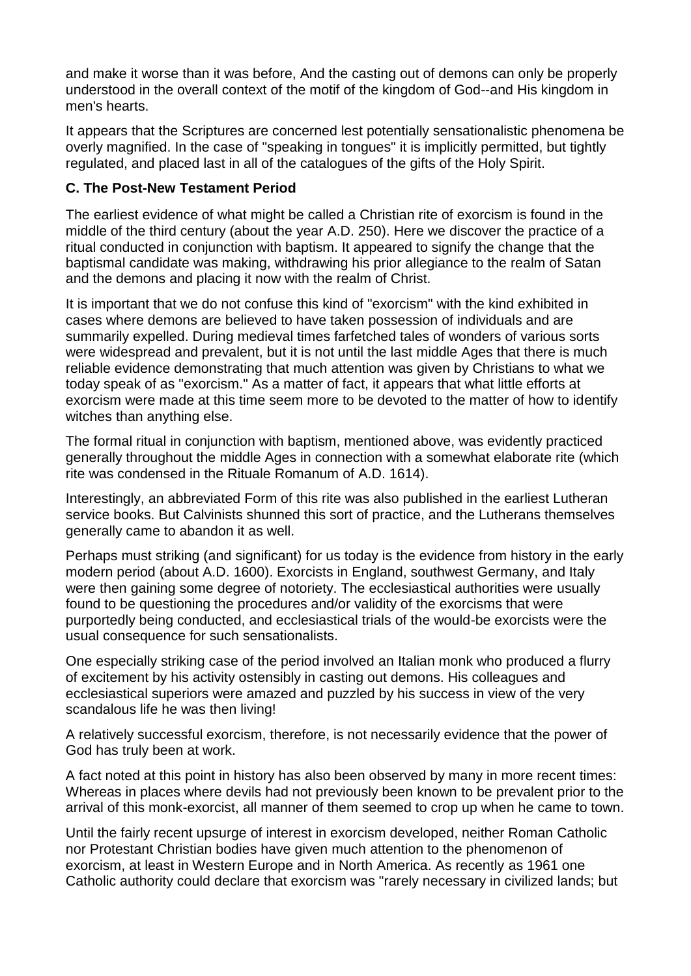and make it worse than it was before, And the casting out of demons can only be properly understood in the overall context of the motif of the kingdom of God--and His kingdom in men's hearts.

It appears that the Scriptures are concerned lest potentially sensationalistic phenomena be overly magnified. In the case of "speaking in tongues" it is implicitly permitted, but tightly regulated, and placed last in all of the catalogues of the gifts of the Holy Spirit.

### **C. The Post-New Testament Period**

The earliest evidence of what might be called a Christian rite of exorcism is found in the middle of the third century (about the year A.D. 250). Here we discover the practice of a ritual conducted in conjunction with baptism. It appeared to signify the change that the baptismal candidate was making, withdrawing his prior allegiance to the realm of Satan and the demons and placing it now with the realm of Christ.

It is important that we do not confuse this kind of "exorcism" with the kind exhibited in cases where demons are believed to have taken possession of individuals and are summarily expelled. During medieval times farfetched tales of wonders of various sorts were widespread and prevalent, but it is not until the last middle Ages that there is much reliable evidence demonstrating that much attention was given by Christians to what we today speak of as "exorcism." As a matter of fact, it appears that what little efforts at exorcism were made at this time seem more to be devoted to the matter of how to identify witches than anything else.

The formal ritual in conjunction with baptism, mentioned above, was evidently practiced generally throughout the middle Ages in connection with a somewhat elaborate rite (which rite was condensed in the Rituale Romanum of A.D. 1614).

Interestingly, an abbreviated Form of this rite was also published in the earliest Lutheran service books. But Calvinists shunned this sort of practice, and the Lutherans themselves generally came to abandon it as well.

Perhaps must striking (and significant) for us today is the evidence from history in the early modern period (about A.D. 1600). Exorcists in England, southwest Germany, and Italy were then gaining some degree of notoriety. The ecclesiastical authorities were usually found to be questioning the procedures and/or validity of the exorcisms that were purportedly being conducted, and ecclesiastical trials of the would-be exorcists were the usual consequence for such sensationalists.

One especially striking case of the period involved an Italian monk who produced a flurry of excitement by his activity ostensibly in casting out demons. His colleagues and ecclesiastical superiors were amazed and puzzled by his success in view of the very scandalous life he was then living!

A relatively successful exorcism, therefore, is not necessarily evidence that the power of God has truly been at work.

A fact noted at this point in history has also been observed by many in more recent times: Whereas in places where devils had not previously been known to be prevalent prior to the arrival of this monk-exorcist, all manner of them seemed to crop up when he came to town.

Until the fairly recent upsurge of interest in exorcism developed, neither Roman Catholic nor Protestant Christian bodies have given much attention to the phenomenon of exorcism, at least in Western Europe and in North America. As recently as 1961 one Catholic authority could declare that exorcism was "rarely necessary in civilized lands; but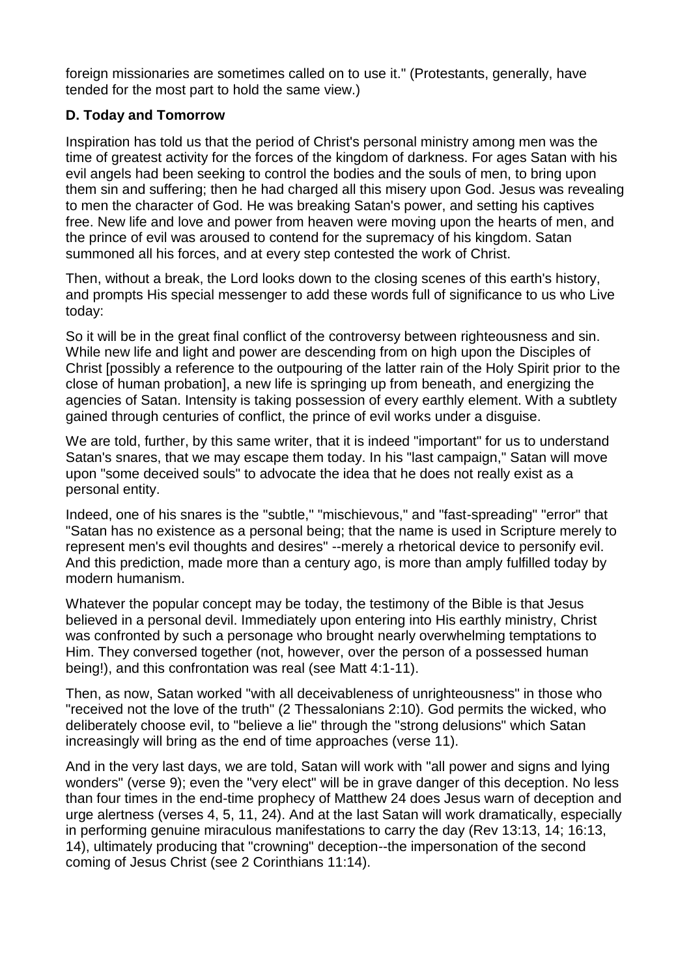foreign missionaries are sometimes called on to use it." (Protestants, generally, have tended for the most part to hold the same view.)

# **D. Today and Tomorrow**

Inspiration has told us that the period of Christ's personal ministry among men was the time of greatest activity for the forces of the kingdom of darkness. For ages Satan with his evil angels had been seeking to control the bodies and the souls of men, to bring upon them sin and suffering; then he had charged all this misery upon God. Jesus was revealing to men the character of God. He was breaking Satan's power, and setting his captives free. New life and love and power from heaven were moving upon the hearts of men, and the prince of evil was aroused to contend for the supremacy of his kingdom. Satan summoned all his forces, and at every step contested the work of Christ.

Then, without a break, the Lord looks down to the closing scenes of this earth's history, and prompts His special messenger to add these words full of significance to us who Live today:

So it will be in the great final conflict of the controversy between righteousness and sin. While new life and light and power are descending from on high upon the Disciples of Christ [possibly a reference to the outpouring of the latter rain of the Holy Spirit prior to the close of human probation], a new life is springing up from beneath, and energizing the agencies of Satan. Intensity is taking possession of every earthly element. With a subtlety gained through centuries of conflict, the prince of evil works under a disguise.

We are told, further, by this same writer, that it is indeed "important" for us to understand Satan's snares, that we may escape them today. In his "last campaign," Satan will move upon "some deceived souls" to advocate the idea that he does not really exist as a personal entity.

Indeed, one of his snares is the "subtle," "mischievous," and "fast-spreading" "error" that "Satan has no existence as a personal being; that the name is used in Scripture merely to represent men's evil thoughts and desires" --merely a rhetorical device to personify evil. And this prediction, made more than a century ago, is more than amply fulfilled today by modern humanism.

Whatever the popular concept may be today, the testimony of the Bible is that Jesus believed in a personal devil. Immediately upon entering into His earthly ministry, Christ was confronted by such a personage who brought nearly overwhelming temptations to Him. They conversed together (not, however, over the person of a possessed human being!), and this confrontation was real (see Matt 4:1-11).

Then, as now, Satan worked "with all deceivableness of unrighteousness" in those who "received not the love of the truth" (2 Thessalonians 2:10). God permits the wicked, who deliberately choose evil, to "believe a lie" through the "strong delusions" which Satan increasingly will bring as the end of time approaches (verse 11).

And in the very last days, we are told, Satan will work with "all power and signs and lying wonders" (verse 9); even the "very elect" will be in grave danger of this deception. No less than four times in the end-time prophecy of Matthew 24 does Jesus warn of deception and urge alertness (verses 4, 5, 11, 24). And at the last Satan will work dramatically, especially in performing genuine miraculous manifestations to carry the day (Rev 13:13, 14; 16:13, 14), ultimately producing that "crowning" deception--the impersonation of the second coming of Jesus Christ (see 2 Corinthians 11:14).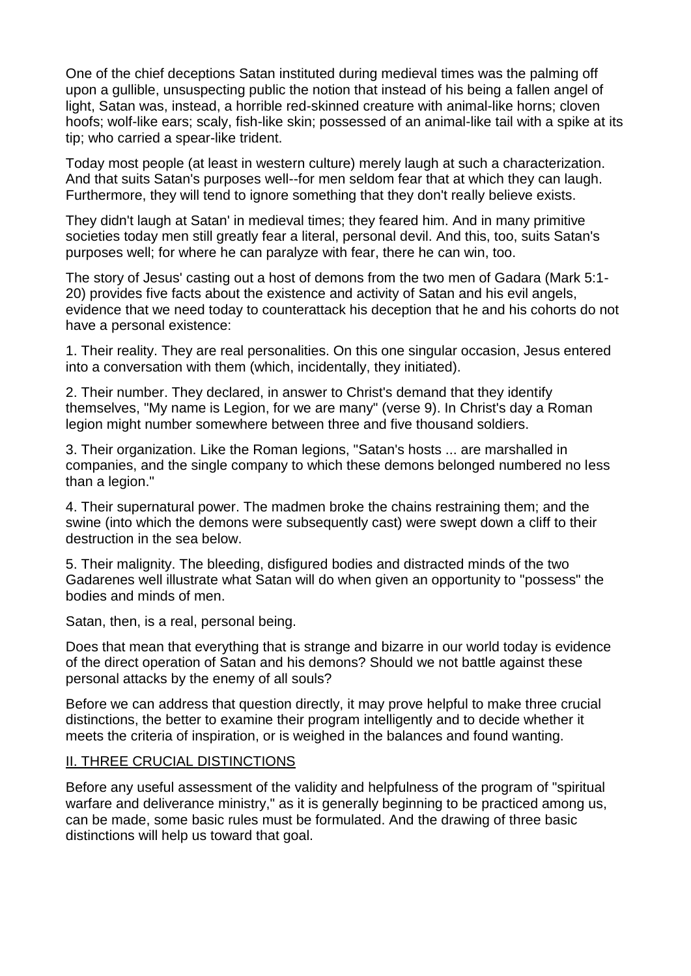One of the chief deceptions Satan instituted during medieval times was the palming off upon a gullible, unsuspecting public the notion that instead of his being a fallen angel of light, Satan was, instead, a horrible red-skinned creature with animal-like horns; cloven hoofs; wolf-like ears; scaly, fish-like skin; possessed of an animal-like tail with a spike at its tip; who carried a spear-like trident.

Today most people (at least in western culture) merely laugh at such a characterization. And that suits Satan's purposes well--for men seldom fear that at which they can laugh. Furthermore, they will tend to ignore something that they don't really believe exists.

They didn't laugh at Satan' in medieval times; they feared him. And in many primitive societies today men still greatly fear a literal, personal devil. And this, too, suits Satan's purposes well; for where he can paralyze with fear, there he can win, too.

The story of Jesus' casting out a host of demons from the two men of Gadara (Mark 5:1- 20) provides five facts about the existence and activity of Satan and his evil angels, evidence that we need today to counterattack his deception that he and his cohorts do not have a personal existence:

1. Their reality. They are real personalities. On this one singular occasion, Jesus entered into a conversation with them (which, incidentally, they initiated).

2. Their number. They declared, in answer to Christ's demand that they identify themselves, "My name is Legion, for we are many" (verse 9). In Christ's day a Roman legion might number somewhere between three and five thousand soldiers.

3. Their organization. Like the Roman legions, "Satan's hosts ... are marshalled in companies, and the single company to which these demons belonged numbered no less than a legion."

4. Their supernatural power. The madmen broke the chains restraining them; and the swine (into which the demons were subsequently cast) were swept down a cliff to their destruction in the sea below.

5. Their malignity. The bleeding, disfigured bodies and distracted minds of the two Gadarenes well illustrate what Satan will do when given an opportunity to "possess" the bodies and minds of men.

Satan, then, is a real, personal being.

Does that mean that everything that is strange and bizarre in our world today is evidence of the direct operation of Satan and his demons? Should we not battle against these personal attacks by the enemy of all souls?

Before we can address that question directly, it may prove helpful to make three crucial distinctions, the better to examine their program intelligently and to decide whether it meets the criteria of inspiration, or is weighed in the balances and found wanting.

#### II. THREE CRUCIAL DISTINCTIONS

Before any useful assessment of the validity and helpfulness of the program of "spiritual warfare and deliverance ministry," as it is generally beginning to be practiced among us, can be made, some basic rules must be formulated. And the drawing of three basic distinctions will help us toward that goal.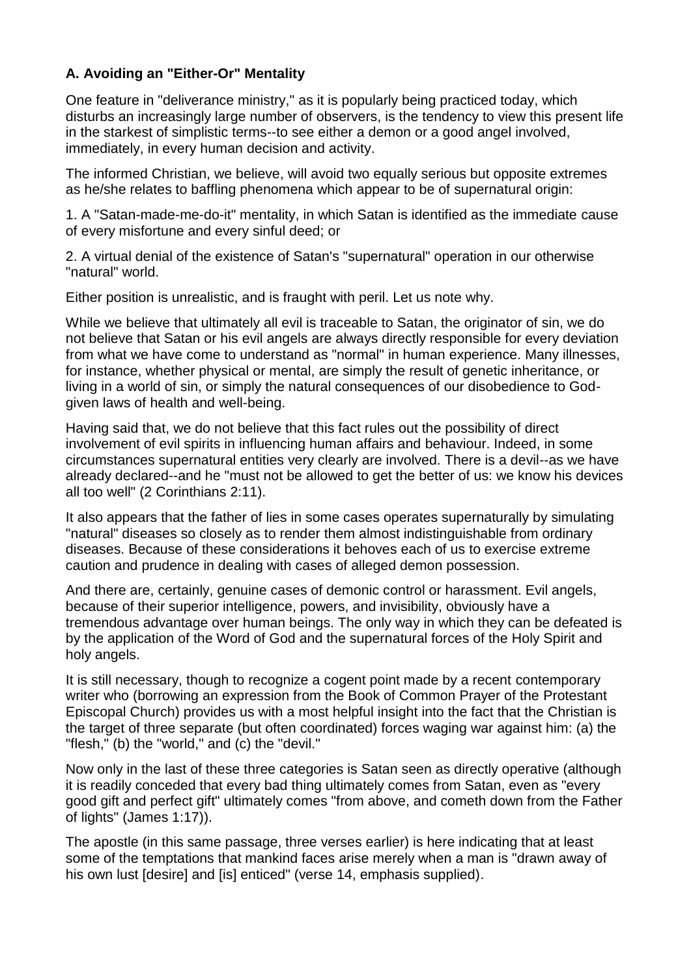# **A. Avoiding an "Either-Or" Mentality**

One feature in "deliverance ministry," as it is popularly being practiced today, which disturbs an increasingly large number of observers, is the tendency to view this present life in the starkest of simplistic terms--to see either a demon or a good angel involved, immediately, in every human decision and activity.

The informed Christian, we believe, will avoid two equally serious but opposite extremes as he/she relates to baffling phenomena which appear to be of supernatural origin:

1. A "Satan-made-me-do-it" mentality, in which Satan is identified as the immediate cause of every misfortune and every sinful deed; or

2. A virtual denial of the existence of Satan's "supernatural" operation in our otherwise "natural" world.

Either position is unrealistic, and is fraught with peril. Let us note why.

While we believe that ultimately all evil is traceable to Satan, the originator of sin, we do not believe that Satan or his evil angels are always directly responsible for every deviation from what we have come to understand as "normal" in human experience. Many illnesses, for instance, whether physical or mental, are simply the result of genetic inheritance, or living in a world of sin, or simply the natural consequences of our disobedience to Godgiven laws of health and well-being.

Having said that, we do not believe that this fact rules out the possibility of direct involvement of evil spirits in influencing human affairs and behaviour. Indeed, in some circumstances supernatural entities very clearly are involved. There is a devil--as we have already declared--and he "must not be allowed to get the better of us: we know his devices all too well" (2 Corinthians 2:11).

It also appears that the father of lies in some cases operates supernaturally by simulating "natural" diseases so closely as to render them almost indistinguishable from ordinary diseases. Because of these considerations it behoves each of us to exercise extreme caution and prudence in dealing with cases of alleged demon possession.

And there are, certainly, genuine cases of demonic control or harassment. Evil angels, because of their superior intelligence, powers, and invisibility, obviously have a tremendous advantage over human beings. The only way in which they can be defeated is by the application of the Word of God and the supernatural forces of the Holy Spirit and holy angels.

It is still necessary, though to recognize a cogent point made by a recent contemporary writer who (borrowing an expression from the Book of Common Prayer of the Protestant Episcopal Church) provides us with a most helpful insight into the fact that the Christian is the target of three separate (but often coordinated) forces waging war against him: (a) the "flesh," (b) the "world," and (c) the "devil."

Now only in the last of these three categories is Satan seen as directly operative (although it is readily conceded that every bad thing ultimately comes from Satan, even as "every good gift and perfect gift" ultimately comes "from above, and cometh down from the Father of lights" (James 1:17)).

The apostle (in this same passage, three verses earlier) is here indicating that at least some of the temptations that mankind faces arise merely when a man is "drawn away of his own lust [desire] and [is] enticed" (verse 14, emphasis supplied).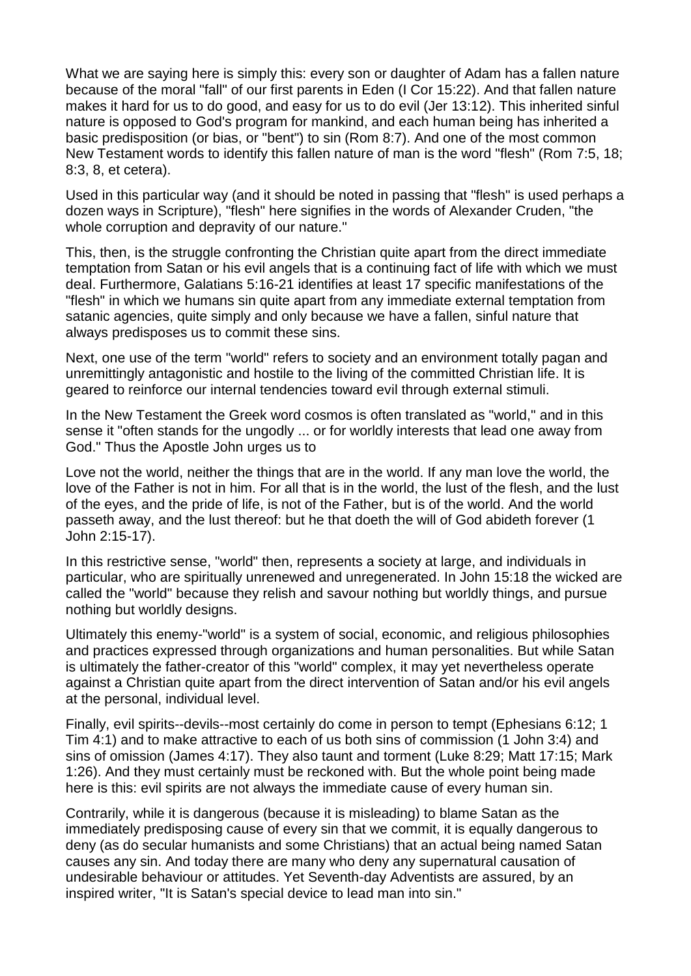What we are saying here is simply this: every son or daughter of Adam has a fallen nature because of the moral "fall" of our first parents in Eden (I Cor 15:22). And that fallen nature makes it hard for us to do good, and easy for us to do evil (Jer 13:12). This inherited sinful nature is opposed to God's program for mankind, and each human being has inherited a basic predisposition (or bias, or "bent") to sin (Rom 8:7). And one of the most common New Testament words to identify this fallen nature of man is the word "flesh" (Rom 7:5, 18; 8:3, 8, et cetera).

Used in this particular way (and it should be noted in passing that "flesh" is used perhaps a dozen ways in Scripture), "flesh" here signifies in the words of Alexander Cruden, "the whole corruption and depravity of our nature."

This, then, is the struggle confronting the Christian quite apart from the direct immediate temptation from Satan or his evil angels that is a continuing fact of life with which we must deal. Furthermore, Galatians 5:16-21 identifies at least 17 specific manifestations of the "flesh" in which we humans sin quite apart from any immediate external temptation from satanic agencies, quite simply and only because we have a fallen, sinful nature that always predisposes us to commit these sins.

Next, one use of the term "world" refers to society and an environment totally pagan and unremittingly antagonistic and hostile to the living of the committed Christian life. It is geared to reinforce our internal tendencies toward evil through external stimuli.

In the New Testament the Greek word cosmos is often translated as "world," and in this sense it "often stands for the ungodly ... or for worldly interests that lead one away from God." Thus the Apostle John urges us to

Love not the world, neither the things that are in the world. If any man love the world, the love of the Father is not in him. For all that is in the world, the lust of the flesh, and the lust of the eyes, and the pride of life, is not of the Father, but is of the world. And the world passeth away, and the lust thereof: but he that doeth the will of God abideth forever (1 John 2:15-17).

In this restrictive sense, "world" then, represents a society at large, and individuals in particular, who are spiritually unrenewed and unregenerated. In John 15:18 the wicked are called the "world" because they relish and savour nothing but worldly things, and pursue nothing but worldly designs.

Ultimately this enemy-"world" is a system of social, economic, and religious philosophies and practices expressed through organizations and human personalities. But while Satan is ultimately the father-creator of this "world" complex, it may yet nevertheless operate against a Christian quite apart from the direct intervention of Satan and/or his evil angels at the personal, individual level.

Finally, evil spirits--devils--most certainly do come in person to tempt (Ephesians 6:12; 1 Tim 4:1) and to make attractive to each of us both sins of commission (1 John 3:4) and sins of omission (James 4:17). They also taunt and torment (Luke 8:29; Matt 17:15; Mark 1:26). And they must certainly must be reckoned with. But the whole point being made here is this: evil spirits are not always the immediate cause of every human sin.

Contrarily, while it is dangerous (because it is misleading) to blame Satan as the immediately predisposing cause of every sin that we commit, it is equally dangerous to deny (as do secular humanists and some Christians) that an actual being named Satan causes any sin. And today there are many who deny any supernatural causation of undesirable behaviour or attitudes. Yet Seventh-day Adventists are assured, by an inspired writer, "It is Satan's special device to lead man into sin."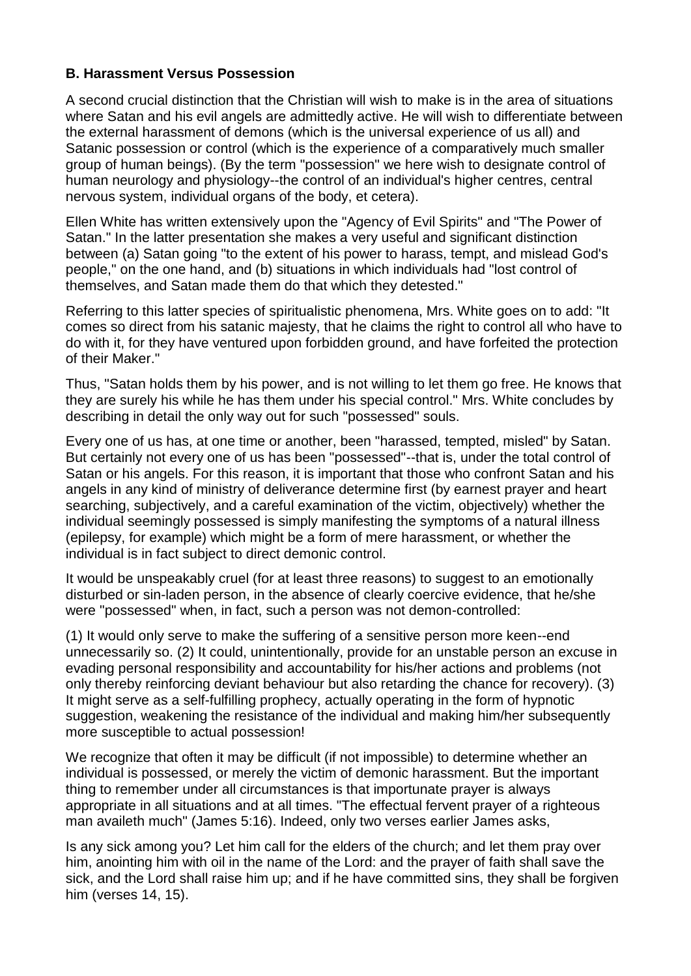#### **B. Harassment Versus Possession**

A second crucial distinction that the Christian will wish to make is in the area of situations where Satan and his evil angels are admittedly active. He will wish to differentiate between the external harassment of demons (which is the universal experience of us all) and Satanic possession or control (which is the experience of a comparatively much smaller group of human beings). (By the term "possession" we here wish to designate control of human neurology and physiology--the control of an individual's higher centres, central nervous system, individual organs of the body, et cetera).

Ellen White has written extensively upon the "Agency of Evil Spirits" and "The Power of Satan." In the latter presentation she makes a very useful and significant distinction between (a) Satan going "to the extent of his power to harass, tempt, and mislead God's people," on the one hand, and (b) situations in which individuals had "lost control of themselves, and Satan made them do that which they detested."

Referring to this latter species of spiritualistic phenomena, Mrs. White goes on to add: "It comes so direct from his satanic majesty, that he claims the right to control all who have to do with it, for they have ventured upon forbidden ground, and have forfeited the protection of their Maker."

Thus, "Satan holds them by his power, and is not willing to let them go free. He knows that they are surely his while he has them under his special control." Mrs. White concludes by describing in detail the only way out for such "possessed" souls.

Every one of us has, at one time or another, been "harassed, tempted, misled" by Satan. But certainly not every one of us has been "possessed"--that is, under the total control of Satan or his angels. For this reason, it is important that those who confront Satan and his angels in any kind of ministry of deliverance determine first (by earnest prayer and heart searching, subjectively, and a careful examination of the victim, objectively) whether the individual seemingly possessed is simply manifesting the symptoms of a natural illness (epilepsy, for example) which might be a form of mere harassment, or whether the individual is in fact subject to direct demonic control.

It would be unspeakably cruel (for at least three reasons) to suggest to an emotionally disturbed or sin-laden person, in the absence of clearly coercive evidence, that he/she were "possessed" when, in fact, such a person was not demon-controlled:

(1) It would only serve to make the suffering of a sensitive person more keen--end unnecessarily so. (2) It could, unintentionally, provide for an unstable person an excuse in evading personal responsibility and accountability for his/her actions and problems (not only thereby reinforcing deviant behaviour but also retarding the chance for recovery). (3) It might serve as a self-fulfilling prophecy, actually operating in the form of hypnotic suggestion, weakening the resistance of the individual and making him/her subsequently more susceptible to actual possession!

We recognize that often it may be difficult (if not impossible) to determine whether an individual is possessed, or merely the victim of demonic harassment. But the important thing to remember under all circumstances is that importunate prayer is always appropriate in all situations and at all times. "The effectual fervent prayer of a righteous man availeth much" (James 5:16). Indeed, only two verses earlier James asks,

Is any sick among you? Let him call for the elders of the church; and let them pray over him, anointing him with oil in the name of the Lord: and the prayer of faith shall save the sick, and the Lord shall raise him up; and if he have committed sins, they shall be forgiven him (verses 14, 15).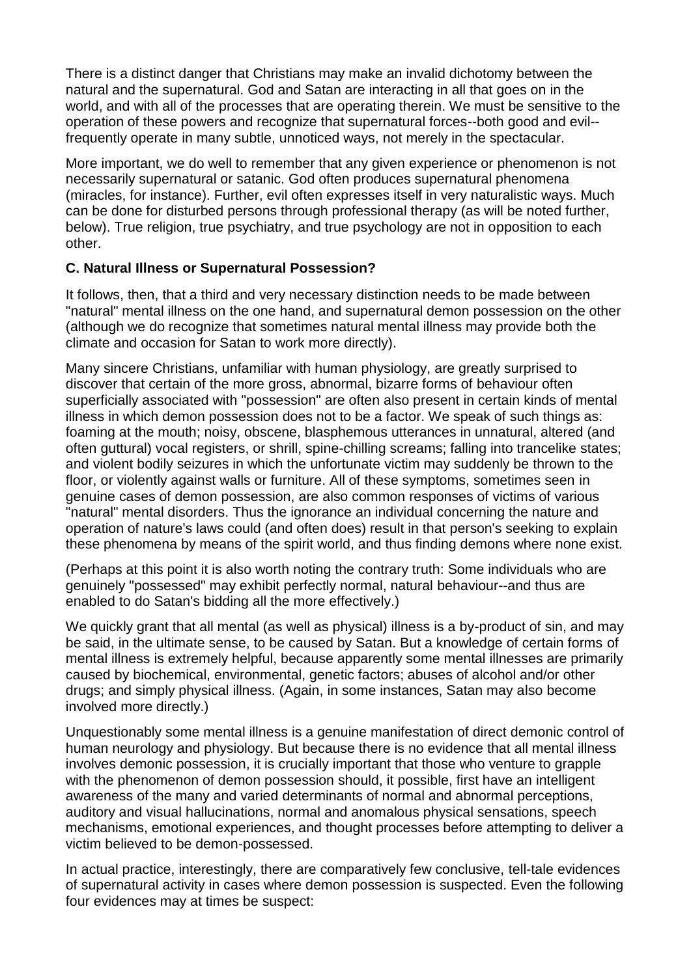There is a distinct danger that Christians may make an invalid dichotomy between the natural and the supernatural. God and Satan are interacting in all that goes on in the world, and with all of the processes that are operating therein. We must be sensitive to the operation of these powers and recognize that supernatural forces--both good and evil- frequently operate in many subtle, unnoticed ways, not merely in the spectacular.

More important, we do well to remember that any given experience or phenomenon is not necessarily supernatural or satanic. God often produces supernatural phenomena (miracles, for instance). Further, evil often expresses itself in very naturalistic ways. Much can be done for disturbed persons through professional therapy (as will be noted further, below). True religion, true psychiatry, and true psychology are not in opposition to each other.

#### **C. Natural Illness or Supernatural Possession?**

It follows, then, that a third and very necessary distinction needs to be made between "natural" mental illness on the one hand, and supernatural demon possession on the other (although we do recognize that sometimes natural mental illness may provide both the climate and occasion for Satan to work more directly).

Many sincere Christians, unfamiliar with human physiology, are greatly surprised to discover that certain of the more gross, abnormal, bizarre forms of behaviour often superficially associated with "possession" are often also present in certain kinds of mental illness in which demon possession does not to be a factor. We speak of such things as: foaming at the mouth; noisy, obscene, blasphemous utterances in unnatural, altered (and often guttural) vocal registers, or shrill, spine-chilling screams; falling into trancelike states; and violent bodily seizures in which the unfortunate victim may suddenly be thrown to the floor, or violently against walls or furniture. All of these symptoms, sometimes seen in genuine cases of demon possession, are also common responses of victims of various "natural" mental disorders. Thus the ignorance an individual concerning the nature and operation of nature's laws could (and often does) result in that person's seeking to explain these phenomena by means of the spirit world, and thus finding demons where none exist.

(Perhaps at this point it is also worth noting the contrary truth: Some individuals who are genuinely "possessed" may exhibit perfectly normal, natural behaviour--and thus are enabled to do Satan's bidding all the more effectively.)

We quickly grant that all mental (as well as physical) illness is a by-product of sin, and may be said, in the ultimate sense, to be caused by Satan. But a knowledge of certain forms of mental illness is extremely helpful, because apparently some mental illnesses are primarily caused by biochemical, environmental, genetic factors; abuses of alcohol and/or other drugs; and simply physical illness. (Again, in some instances, Satan may also become involved more directly.)

Unquestionably some mental illness is a genuine manifestation of direct demonic control of human neurology and physiology. But because there is no evidence that all mental illness involves demonic possession, it is crucially important that those who venture to grapple with the phenomenon of demon possession should, it possible, first have an intelligent awareness of the many and varied determinants of normal and abnormal perceptions, auditory and visual hallucinations, normal and anomalous physical sensations, speech mechanisms, emotional experiences, and thought processes before attempting to deliver a victim believed to be demon-possessed.

In actual practice, interestingly, there are comparatively few conclusive, tell-tale evidences of supernatural activity in cases where demon possession is suspected. Even the following four evidences may at times be suspect: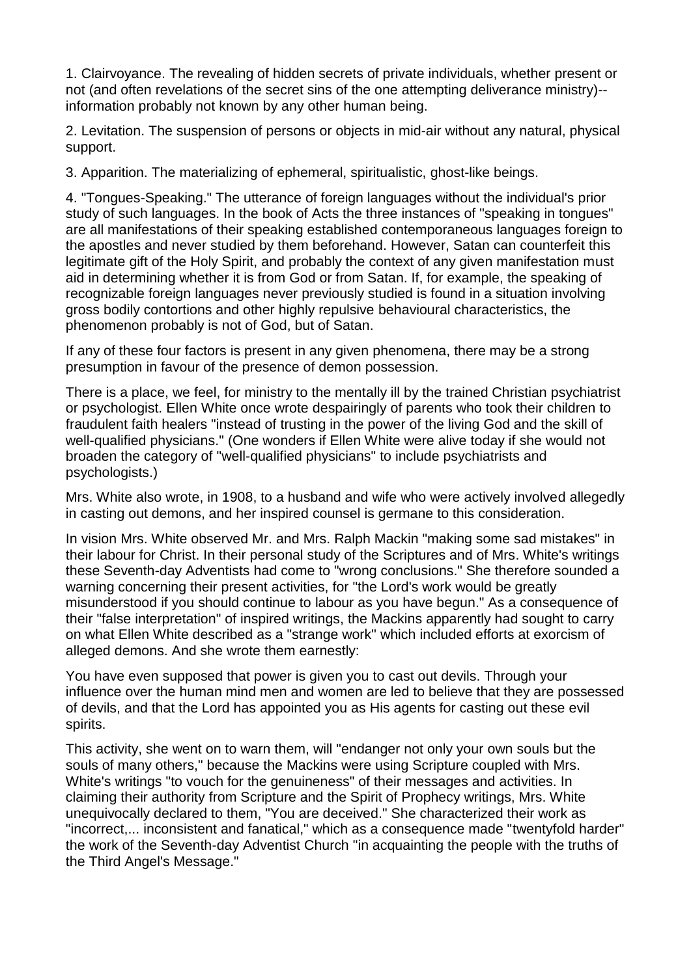1. Clairvoyance. The revealing of hidden secrets of private individuals, whether present or not (and often revelations of the secret sins of the one attempting deliverance ministry)- information probably not known by any other human being.

2. Levitation. The suspension of persons or objects in mid-air without any natural, physical support.

3. Apparition. The materializing of ephemeral, spiritualistic, ghost-like beings.

4. "Tongues-Speaking." The utterance of foreign languages without the individual's prior study of such languages. In the book of Acts the three instances of "speaking in tongues" are all manifestations of their speaking established contemporaneous languages foreign to the apostles and never studied by them beforehand. However, Satan can counterfeit this legitimate gift of the Holy Spirit, and probably the context of any given manifestation must aid in determining whether it is from God or from Satan. If, for example, the speaking of recognizable foreign languages never previously studied is found in a situation involving gross bodily contortions and other highly repulsive behavioural characteristics, the phenomenon probably is not of God, but of Satan.

If any of these four factors is present in any given phenomena, there may be a strong presumption in favour of the presence of demon possession.

There is a place, we feel, for ministry to the mentally ill by the trained Christian psychiatrist or psychologist. Ellen White once wrote despairingly of parents who took their children to fraudulent faith healers "instead of trusting in the power of the living God and the skill of well-qualified physicians." (One wonders if Ellen White were alive today if she would not broaden the category of "well-qualified physicians" to include psychiatrists and psychologists.)

Mrs. White also wrote, in 1908, to a husband and wife who were actively involved allegedly in casting out demons, and her inspired counsel is germane to this consideration.

In vision Mrs. White observed Mr. and Mrs. Ralph Mackin "making some sad mistakes" in their labour for Christ. In their personal study of the Scriptures and of Mrs. White's writings these Seventh-day Adventists had come to "wrong conclusions." She therefore sounded a warning concerning their present activities, for "the Lord's work would be greatly misunderstood if you should continue to labour as you have begun." As a consequence of their "false interpretation" of inspired writings, the Mackins apparently had sought to carry on what Ellen White described as a "strange work" which included efforts at exorcism of alleged demons. And she wrote them earnestly:

You have even supposed that power is given you to cast out devils. Through your influence over the human mind men and women are led to believe that they are possessed of devils, and that the Lord has appointed you as His agents for casting out these evil spirits.

This activity, she went on to warn them, will "endanger not only your own souls but the souls of many others," because the Mackins were using Scripture coupled with Mrs. White's writings "to vouch for the genuineness" of their messages and activities. In claiming their authority from Scripture and the Spirit of Prophecy writings, Mrs. White unequivocally declared to them, "You are deceived." She characterized their work as "incorrect,... inconsistent and fanatical," which as a consequence made "twentyfold harder" the work of the Seventh-day Adventist Church "in acquainting the people with the truths of the Third Angel's Message."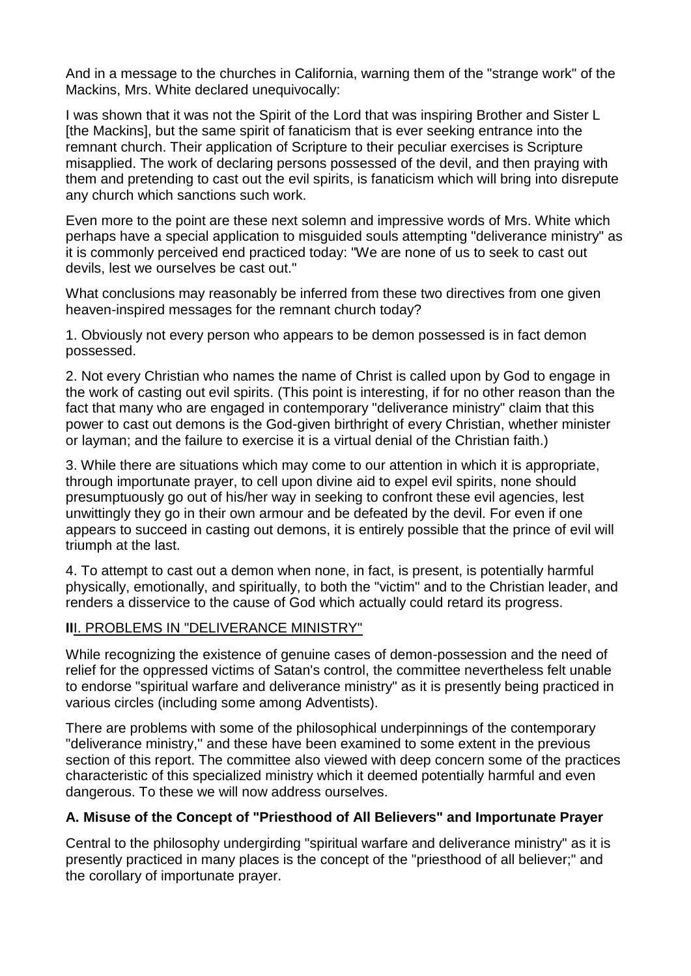And in a message to the churches in California, warning them of the "strange work" of the Mackins, Mrs. White declared unequivocally:

I was shown that it was not the Spirit of the Lord that was inspiring Brother and Sister L [the Mackins], but the same spirit of fanaticism that is ever seeking entrance into the remnant church. Their application of Scripture to their peculiar exercises is Scripture misapplied. The work of declaring persons possessed of the devil, and then praying with them and pretending to cast out the evil spirits, is fanaticism which will bring into disrepute any church which sanctions such work.

Even more to the point are these next solemn and impressive words of Mrs. White which perhaps have a special application to misguided souls attempting "deliverance ministry" as it is commonly perceived end practiced today: "We are none of us to seek to cast out devils, lest we ourselves be cast out."

What conclusions may reasonably be inferred from these two directives from one given heaven-inspired messages for the remnant church today?

1. Obviously not every person who appears to be demon possessed is in fact demon possessed.

2. Not every Christian who names the name of Christ is called upon by God to engage in the work of casting out evil spirits. (This point is interesting, if for no other reason than the fact that many who are engaged in contemporary "deliverance ministry" claim that this power to cast out demons is the God-given birthright of every Christian, whether minister or layman; and the failure to exercise it is a virtual denial of the Christian faith.)

3. While there are situations which may come to our attention in which it is appropriate, through importunate prayer, to cell upon divine aid to expel evil spirits, none should presumptuously go out of his/her way in seeking to confront these evil agencies, lest unwittingly they go in their own armour and be defeated by the devil. For even if one appears to succeed in casting out demons, it is entirely possible that the prince of evil will triumph at the last.

4. To attempt to cast out a demon when none, in fact, is present, is potentially harmful physically, emotionally, and spiritually, to both the "victim" and to the Christian leader, and renders a disservice to the cause of God which actually could retard its progress.

### **II**I. PROBLEMS IN "DELIVERANCE MINISTRY"

While recognizing the existence of genuine cases of demon-possession and the need of relief for the oppressed victims of Satan's control, the committee nevertheless felt unable to endorse "spiritual warfare and deliverance ministry" as it is presently being practiced in various circles (including some among Adventists).

There are problems with some of the philosophical underpinnings of the contemporary "deliverance ministry,'' and these have been examined to some extent in the previous section of this report. The committee also viewed with deep concern some of the practices characteristic of this specialized ministry which it deemed potentially harmful and even dangerous. To these we will now address ourselves.

### **A. Misuse of the Concept of "Priesthood of All Believers" and Importunate Prayer**

Central to the philosophy undergirding "spiritual warfare and deliverance ministry" as it is presently practiced in many places is the concept of the "priesthood of all believer;" and the corollary of importunate prayer.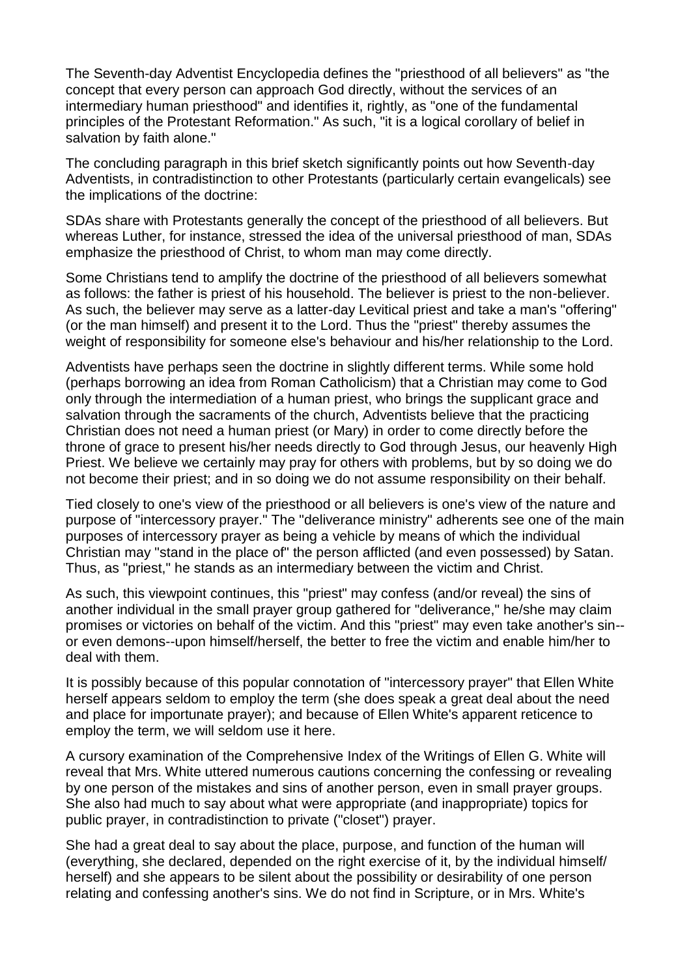The Seventh-day Adventist Encyclopedia defines the "priesthood of all believers" as "the concept that every person can approach God directly, without the services of an intermediary human priesthood" and identifies it, rightly, as "one of the fundamental principles of the Protestant Reformation." As such, "it is a logical corollary of belief in salvation by faith alone."

The concluding paragraph in this brief sketch significantly points out how Seventh-day Adventists, in contradistinction to other Protestants (particularly certain evangelicals) see the implications of the doctrine:

SDAs share with Protestants generally the concept of the priesthood of all believers. But whereas Luther, for instance, stressed the idea of the universal priesthood of man, SDAs emphasize the priesthood of Christ, to whom man may come directly.

Some Christians tend to amplify the doctrine of the priesthood of all believers somewhat as follows: the father is priest of his household. The believer is priest to the non-believer. As such, the believer may serve as a latter-day Levitical priest and take a man's "offering" (or the man himself) and present it to the Lord. Thus the "priest" thereby assumes the weight of responsibility for someone else's behaviour and his/her relationship to the Lord.

Adventists have perhaps seen the doctrine in slightly different terms. While some hold (perhaps borrowing an idea from Roman Catholicism) that a Christian may come to God only through the intermediation of a human priest, who brings the supplicant grace and salvation through the sacraments of the church, Adventists believe that the practicing Christian does not need a human priest (or Mary) in order to come directly before the throne of grace to present his/her needs directly to God through Jesus, our heavenly High Priest. We believe we certainly may pray for others with problems, but by so doing we do not become their priest; and in so doing we do not assume responsibility on their behalf.

Tied closely to one's view of the priesthood or all believers is one's view of the nature and purpose of "intercessory prayer." The "deliverance ministry" adherents see one of the main purposes of intercessory prayer as being a vehicle by means of which the individual Christian may "stand in the place of" the person afflicted (and even possessed) by Satan. Thus, as "priest," he stands as an intermediary between the victim and Christ.

As such, this viewpoint continues, this "priest" may confess (and/or reveal) the sins of another individual in the small prayer group gathered for "deliverance," he/she may claim promises or victories on behalf of the victim. And this "priest" may even take another's sin- or even demons--upon himself/herself, the better to free the victim and enable him/her to deal with them.

It is possibly because of this popular connotation of "intercessory prayer" that Ellen White herself appears seldom to employ the term (she does speak a great deal about the need and place for importunate prayer); and because of Ellen White's apparent reticence to employ the term, we will seldom use it here.

A cursory examination of the Comprehensive Index of the Writings of Ellen G. White will reveal that Mrs. White uttered numerous cautions concerning the confessing or revealing by one person of the mistakes and sins of another person, even in small prayer groups. She also had much to say about what were appropriate (and inappropriate) topics for public prayer, in contradistinction to private ("closet") prayer.

She had a great deal to say about the place, purpose, and function of the human will (everything, she declared, depended on the right exercise of it, by the individual himself/ herself) and she appears to be silent about the possibility or desirability of one person relating and confessing another's sins. We do not find in Scripture, or in Mrs. White's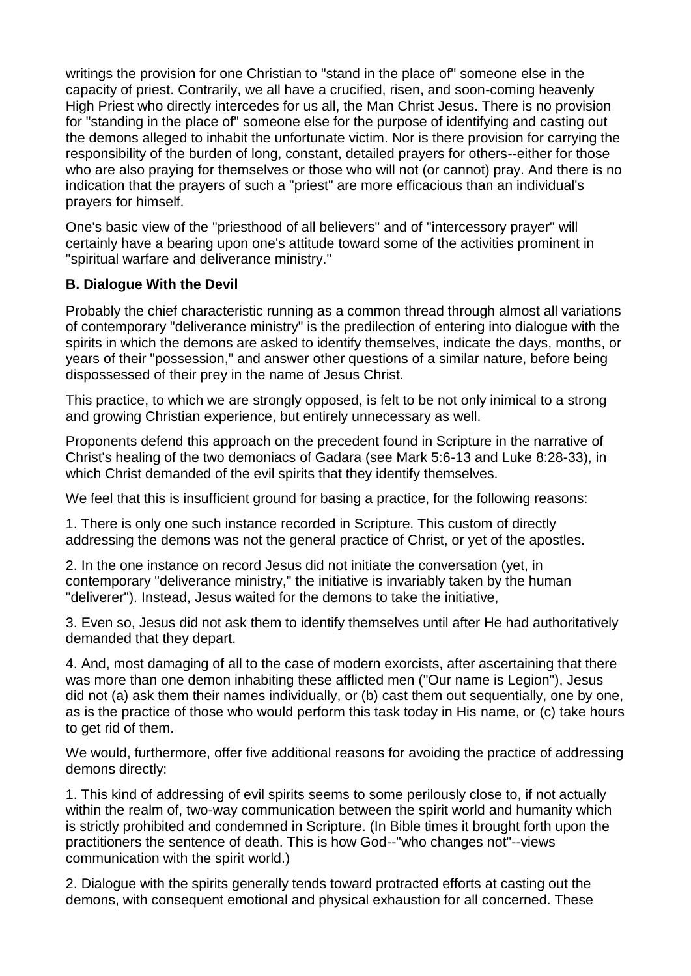writings the provision for one Christian to "stand in the place of'' someone else in the capacity of priest. Contrarily, we all have a crucified, risen, and soon-coming heavenly High Priest who directly intercedes for us all, the Man Christ Jesus. There is no provision for "standing in the place of" someone else for the purpose of identifying and casting out the demons alleged to inhabit the unfortunate victim. Nor is there provision for carrying the responsibility of the burden of long, constant, detailed prayers for others--either for those who are also praying for themselves or those who will not (or cannot) pray. And there is no indication that the prayers of such a "priest" are more efficacious than an individual's prayers for himself.

One's basic view of the "priesthood of all believers" and of "intercessory prayer" will certainly have a bearing upon one's attitude toward some of the activities prominent in "spiritual warfare and deliverance ministry."

### **B. Dialogue With the Devil**

Probably the chief characteristic running as a common thread through almost all variations of contemporary "deliverance ministry" is the predilection of entering into dialogue with the spirits in which the demons are asked to identify themselves, indicate the days, months, or years of their "possession," and answer other questions of a similar nature, before being dispossessed of their prey in the name of Jesus Christ.

This practice, to which we are strongly opposed, is felt to be not only inimical to a strong and growing Christian experience, but entirely unnecessary as well.

Proponents defend this approach on the precedent found in Scripture in the narrative of Christ's healing of the two demoniacs of Gadara (see Mark 5:6-13 and Luke 8:28-33), in which Christ demanded of the evil spirits that they identify themselves.

We feel that this is insufficient ground for basing a practice, for the following reasons:

1. There is only one such instance recorded in Scripture. This custom of directly addressing the demons was not the general practice of Christ, or yet of the apostles.

2. In the one instance on record Jesus did not initiate the conversation (yet, in contemporary "deliverance ministry," the initiative is invariably taken by the human "deliverer"). Instead, Jesus waited for the demons to take the initiative,

3. Even so, Jesus did not ask them to identify themselves until after He had authoritatively demanded that they depart.

4. And, most damaging of all to the case of modern exorcists, after ascertaining that there was more than one demon inhabiting these afflicted men ("Our name is Legion"), Jesus did not (a) ask them their names individually, or (b) cast them out sequentially, one by one, as is the practice of those who would perform this task today in His name, or (c) take hours to get rid of them.

We would, furthermore, offer five additional reasons for avoiding the practice of addressing demons directly:

1. This kind of addressing of evil spirits seems to some perilously close to, if not actually within the realm of, two-way communication between the spirit world and humanity which is strictly prohibited and condemned in Scripture. (In Bible times it brought forth upon the practitioners the sentence of death. This is how God--"who changes not"--views communication with the spirit world.)

2. Dialogue with the spirits generally tends toward protracted efforts at casting out the demons, with consequent emotional and physical exhaustion for all concerned. These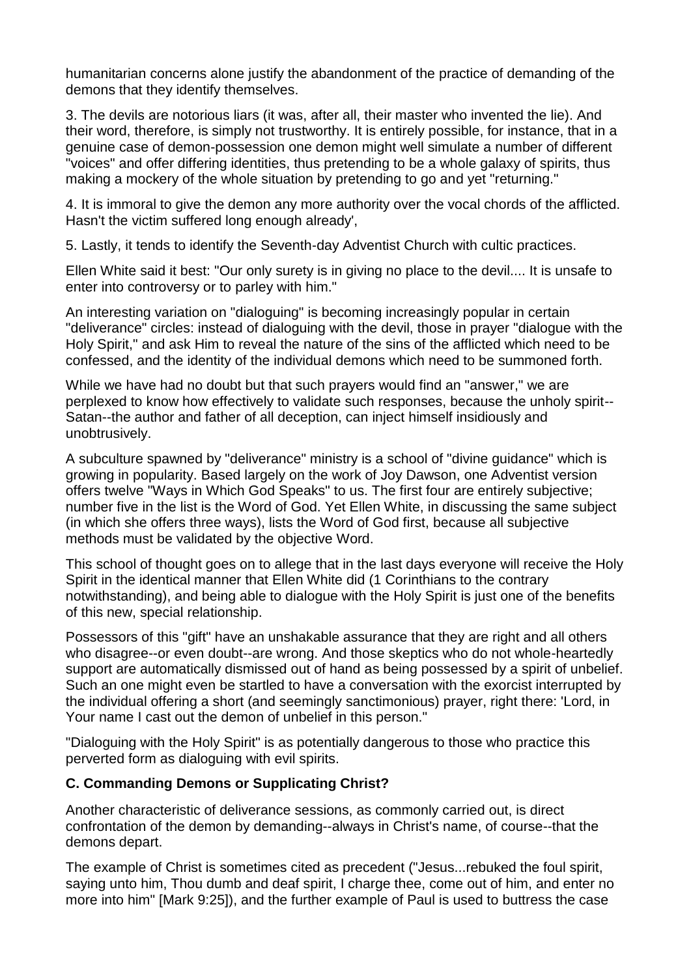humanitarian concerns alone justify the abandonment of the practice of demanding of the demons that they identify themselves.

3. The devils are notorious liars (it was, after all, their master who invented the lie). And their word, therefore, is simply not trustworthy. It is entirely possible, for instance, that in a genuine case of demon-possession one demon might well simulate a number of different "voices" and offer differing identities, thus pretending to be a whole galaxy of spirits, thus making a mockery of the whole situation by pretending to go and yet "returning."

4. It is immoral to give the demon any more authority over the vocal chords of the afflicted. Hasn't the victim suffered long enough already',

5. Lastly, it tends to identify the Seventh-day Adventist Church with cultic practices.

Ellen White said it best: "Our only surety is in giving no place to the devil.... It is unsafe to enter into controversy or to parley with him."

An interesting variation on "dialoguing" is becoming increasingly popular in certain "deliverance" circles: instead of dialoguing with the devil, those in prayer "dialogue with the Holy Spirit," and ask Him to reveal the nature of the sins of the afflicted which need to be confessed, and the identity of the individual demons which need to be summoned forth.

While we have had no doubt but that such prayers would find an "answer," we are perplexed to know how effectively to validate such responses, because the unholy spirit-- Satan--the author and father of all deception, can inject himself insidiously and unobtrusively.

A subculture spawned by "deliverance" ministry is a school of "divine guidance" which is growing in popularity. Based largely on the work of Joy Dawson, one Adventist version offers twelve "Ways in Which God Speaks" to us. The first four are entirely subjective; number five in the list is the Word of God. Yet Ellen White, in discussing the same subject (in which she offers three ways), lists the Word of God first, because all subjective methods must be validated by the objective Word.

This school of thought goes on to allege that in the last days everyone will receive the Holy Spirit in the identical manner that Ellen White did (1 Corinthians to the contrary notwithstanding), and being able to dialogue with the Holy Spirit is just one of the benefits of this new, special relationship.

Possessors of this "gift" have an unshakable assurance that they are right and all others who disagree--or even doubt--are wrong. And those skeptics who do not whole-heartedly support are automatically dismissed out of hand as being possessed by a spirit of unbelief. Such an one might even be startled to have a conversation with the exorcist interrupted by the individual offering a short (and seemingly sanctimonious) prayer, right there: 'Lord, in Your name I cast out the demon of unbelief in this person."

"Dialoguing with the Holy Spirit" is as potentially dangerous to those who practice this perverted form as dialoguing with evil spirits.

### **C. Commanding Demons or Supplicating Christ?**

Another characteristic of deliverance sessions, as commonly carried out, is direct confrontation of the demon by demanding--always in Christ's name, of course--that the demons depart.

The example of Christ is sometimes cited as precedent ("Jesus...rebuked the foul spirit, saying unto him, Thou dumb and deaf spirit, I charge thee, come out of him, and enter no more into him" [Mark 9:25]), and the further example of Paul is used to buttress the case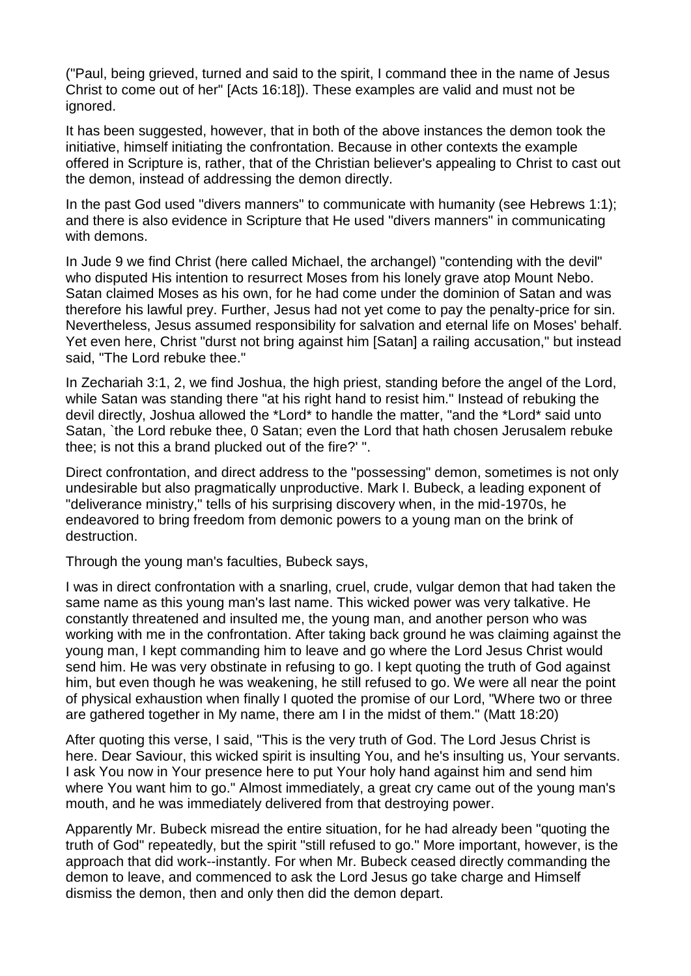("Paul, being grieved, turned and said to the spirit, I command thee in the name of Jesus Christ to come out of her" [Acts 16:18]). These examples are valid and must not be ignored.

It has been suggested, however, that in both of the above instances the demon took the initiative, himself initiating the confrontation. Because in other contexts the example offered in Scripture is, rather, that of the Christian believer's appealing to Christ to cast out the demon, instead of addressing the demon directly.

In the past God used "divers manners" to communicate with humanity (see Hebrews 1:1); and there is also evidence in Scripture that He used "divers manners" in communicating with demons.

In Jude 9 we find Christ (here called Michael, the archangel) "contending with the devil" who disputed His intention to resurrect Moses from his lonely grave atop Mount Nebo. Satan claimed Moses as his own, for he had come under the dominion of Satan and was therefore his lawful prey. Further, Jesus had not yet come to pay the penalty-price for sin. Nevertheless, Jesus assumed responsibility for salvation and eternal life on Moses' behalf. Yet even here, Christ "durst not bring against him [Satan] a railing accusation," but instead said, "The Lord rebuke thee."

In Zechariah 3:1, 2, we find Joshua, the high priest, standing before the angel of the Lord, while Satan was standing there "at his right hand to resist him." Instead of rebuking the devil directly, Joshua allowed the \*Lord\* to handle the matter, "and the \*Lord\* said unto Satan, `the Lord rebuke thee, 0 Satan; even the Lord that hath chosen Jerusalem rebuke thee; is not this a brand plucked out of the fire?' ".

Direct confrontation, and direct address to the "possessing" demon, sometimes is not only undesirable but also pragmatically unproductive. Mark I. Bubeck, a leading exponent of "deliverance ministry," tells of his surprising discovery when, in the mid-1970s, he endeavored to bring freedom from demonic powers to a young man on the brink of destruction.

Through the young man's faculties, Bubeck says,

I was in direct confrontation with a snarling, cruel, crude, vulgar demon that had taken the same name as this young man's last name. This wicked power was very talkative. He constantly threatened and insulted me, the young man, and another person who was working with me in the confrontation. After taking back ground he was claiming against the young man, I kept commanding him to leave and go where the Lord Jesus Christ would send him. He was very obstinate in refusing to go. I kept quoting the truth of God against him, but even though he was weakening, he still refused to go. We were all near the point of physical exhaustion when finally I quoted the promise of our Lord, "Where two or three are gathered together in My name, there am I in the midst of them." (Matt 18:20)

After quoting this verse, I said, "This is the very truth of God. The Lord Jesus Christ is here. Dear Saviour, this wicked spirit is insulting You, and he's insulting us, Your servants. I ask You now in Your presence here to put Your holy hand against him and send him where You want him to go." Almost immediately, a great cry came out of the young man's mouth, and he was immediately delivered from that destroying power.

Apparently Mr. Bubeck misread the entire situation, for he had already been "quoting the truth of God" repeatedly, but the spirit "still refused to go." More important, however, is the approach that did work--instantly. For when Mr. Bubeck ceased directly commanding the demon to leave, and commenced to ask the Lord Jesus go take charge and Himself dismiss the demon, then and only then did the demon depart.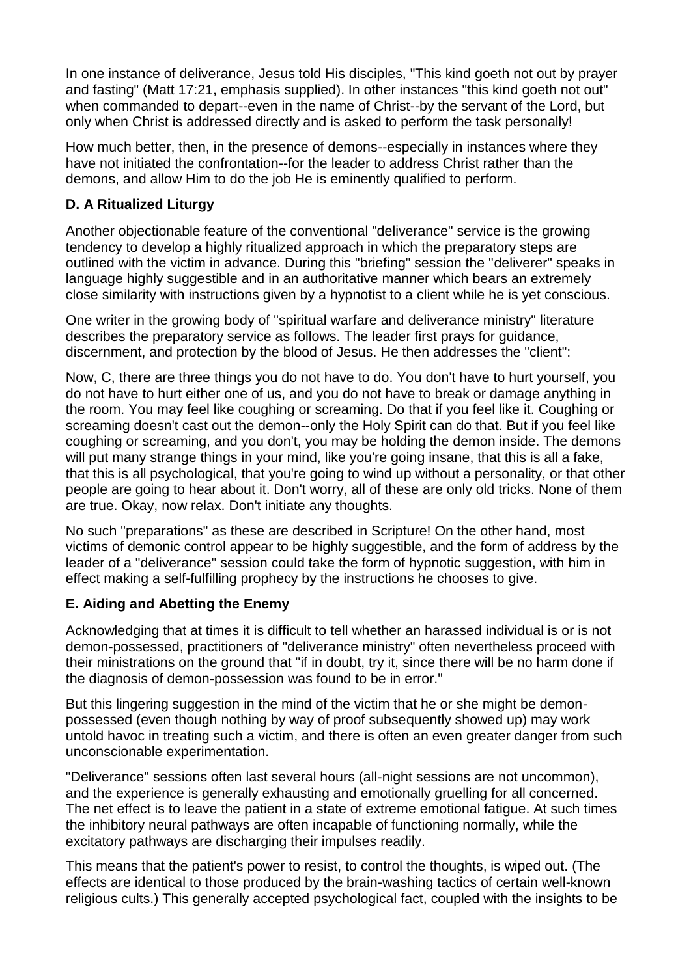In one instance of deliverance, Jesus told His disciples, "This kind goeth not out by prayer and fasting" (Matt 17:21, emphasis supplied). In other instances "this kind goeth not out" when commanded to depart--even in the name of Christ--by the servant of the Lord, but only when Christ is addressed directly and is asked to perform the task personally!

How much better, then, in the presence of demons--especially in instances where they have not initiated the confrontation--for the leader to address Christ rather than the demons, and allow Him to do the job He is eminently qualified to perform.

# **D. A Ritualized Liturgy**

Another objectionable feature of the conventional "deliverance" service is the growing tendency to develop a highly ritualized approach in which the preparatory steps are outlined with the victim in advance. During this "briefing" session the "deliverer" speaks in language highly suggestible and in an authoritative manner which bears an extremely close similarity with instructions given by a hypnotist to a client while he is yet conscious.

One writer in the growing body of "spiritual warfare and deliverance ministry" literature describes the preparatory service as follows. The leader first prays for guidance, discernment, and protection by the blood of Jesus. He then addresses the "client":

Now, C, there are three things you do not have to do. You don't have to hurt yourself, you do not have to hurt either one of us, and you do not have to break or damage anything in the room. You may feel like coughing or screaming. Do that if you feel like it. Coughing or screaming doesn't cast out the demon--only the Holy Spirit can do that. But if you feel like coughing or screaming, and you don't, you may be holding the demon inside. The demons will put many strange things in your mind, like you're going insane, that this is all a fake, that this is all psychological, that you're going to wind up without a personality, or that other people are going to hear about it. Don't worry, all of these are only old tricks. None of them are true. Okay, now relax. Don't initiate any thoughts.

No such "preparations" as these are described in Scripture! On the other hand, most victims of demonic control appear to be highly suggestible, and the form of address by the leader of a "deliverance" session could take the form of hypnotic suggestion, with him in effect making a self-fulfilling prophecy by the instructions he chooses to give.

# **E. Aiding and Abetting the Enemy**

Acknowledging that at times it is difficult to tell whether an harassed individual is or is not demon-possessed, practitioners of "deliverance ministry" often nevertheless proceed with their ministrations on the ground that "if in doubt, try it, since there will be no harm done if the diagnosis of demon-possession was found to be in error."

But this lingering suggestion in the mind of the victim that he or she might be demonpossessed (even though nothing by way of proof subsequently showed up) may work untold havoc in treating such a victim, and there is often an even greater danger from such unconscionable experimentation.

"Deliverance" sessions often last several hours (all-night sessions are not uncommon), and the experience is generally exhausting and emotionally gruelling for all concerned. The net effect is to leave the patient in a state of extreme emotional fatigue. At such times the inhibitory neural pathways are often incapable of functioning normally, while the excitatory pathways are discharging their impulses readily.

This means that the patient's power to resist, to control the thoughts, is wiped out. (The effects are identical to those produced by the brain-washing tactics of certain well-known religious cults.) This generally accepted psychological fact, coupled with the insights to be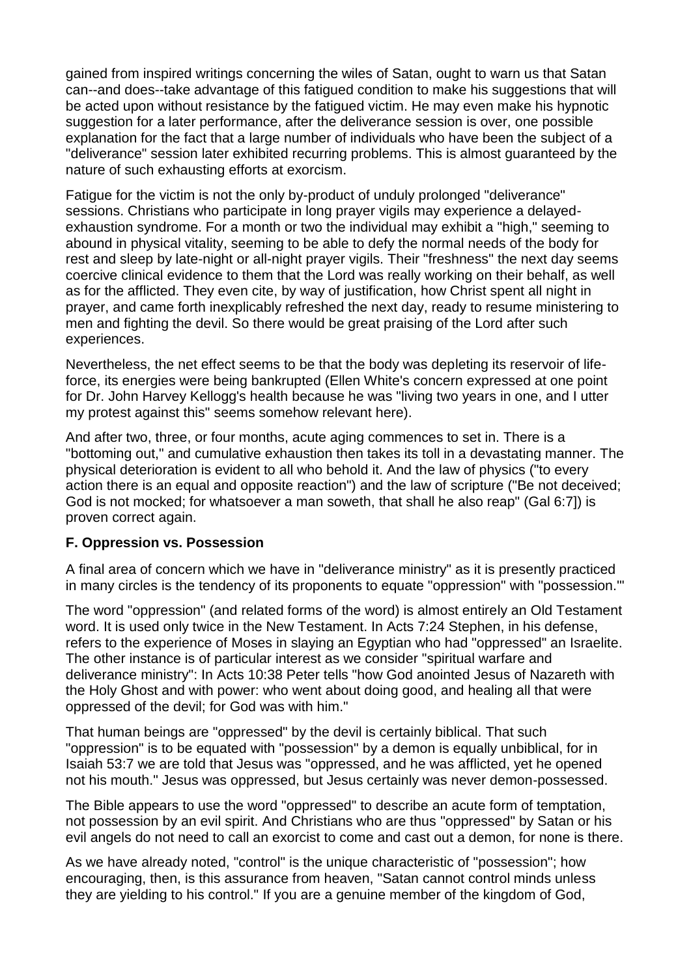gained from inspired writings concerning the wiles of Satan, ought to warn us that Satan can--and does--take advantage of this fatigued condition to make his suggestions that will be acted upon without resistance by the fatigued victim. He may even make his hypnotic suggestion for a later performance, after the deliverance session is over, one possible explanation for the fact that a large number of individuals who have been the subject of a "deliverance" session later exhibited recurring problems. This is almost guaranteed by the nature of such exhausting efforts at exorcism.

Fatigue for the victim is not the only by-product of unduly prolonged "deliverance" sessions. Christians who participate in long prayer vigils may experience a delayedexhaustion syndrome. For a month or two the individual may exhibit a "high," seeming to abound in physical vitality, seeming to be able to defy the normal needs of the body for rest and sleep by late-night or all-night prayer vigils. Their "freshness'' the next day seems coercive clinical evidence to them that the Lord was really working on their behalf, as well as for the afflicted. They even cite, by way of justification, how Christ spent all night in prayer, and came forth inexplicably refreshed the next day, ready to resume ministering to men and fighting the devil. So there would be great praising of the Lord after such experiences.

Nevertheless, the net effect seems to be that the body was depleting its reservoir of lifeforce, its energies were being bankrupted (Ellen White's concern expressed at one point for Dr. John Harvey Kellogg's health because he was "living two years in one, and I utter my protest against this" seems somehow relevant here).

And after two, three, or four months, acute aging commences to set in. There is a "bottoming out," and cumulative exhaustion then takes its toll in a devastating manner. The physical deterioration is evident to all who behold it. And the law of physics ("to every action there is an equal and opposite reaction") and the law of scripture ("Be not deceived; God is not mocked; for whatsoever a man soweth, that shall he also reap" (Gal 6:7]) is proven correct again.

### **F. Oppression vs. Possession**

A final area of concern which we have in "deliverance ministry" as it is presently practiced in many circles is the tendency of its proponents to equate "oppression" with "possession.'"

The word "oppression" (and related forms of the word) is almost entirely an Old Testament word. It is used only twice in the New Testament. In Acts 7:24 Stephen, in his defense, refers to the experience of Moses in slaying an Egyptian who had "oppressed" an Israelite. The other instance is of particular interest as we consider "spiritual warfare and deliverance ministry": In Acts 10:38 Peter tells "how God anointed Jesus of Nazareth with the Holy Ghost and with power: who went about doing good, and healing all that were oppressed of the devil; for God was with him."

That human beings are "oppressed" by the devil is certainly biblical. That such "oppression" is to be equated with "possession" by a demon is equally unbiblical, for in Isaiah 53:7 we are told that Jesus was "oppressed, and he was afflicted, yet he opened not his mouth." Jesus was oppressed, but Jesus certainly was never demon-possessed.

The Bible appears to use the word "oppressed" to describe an acute form of temptation, not possession by an evil spirit. And Christians who are thus "oppressed" by Satan or his evil angels do not need to call an exorcist to come and cast out a demon, for none is there.

As we have already noted, "control" is the unique characteristic of "possession"; how encouraging, then, is this assurance from heaven, "Satan cannot control minds unless they are yielding to his control." If you are a genuine member of the kingdom of God,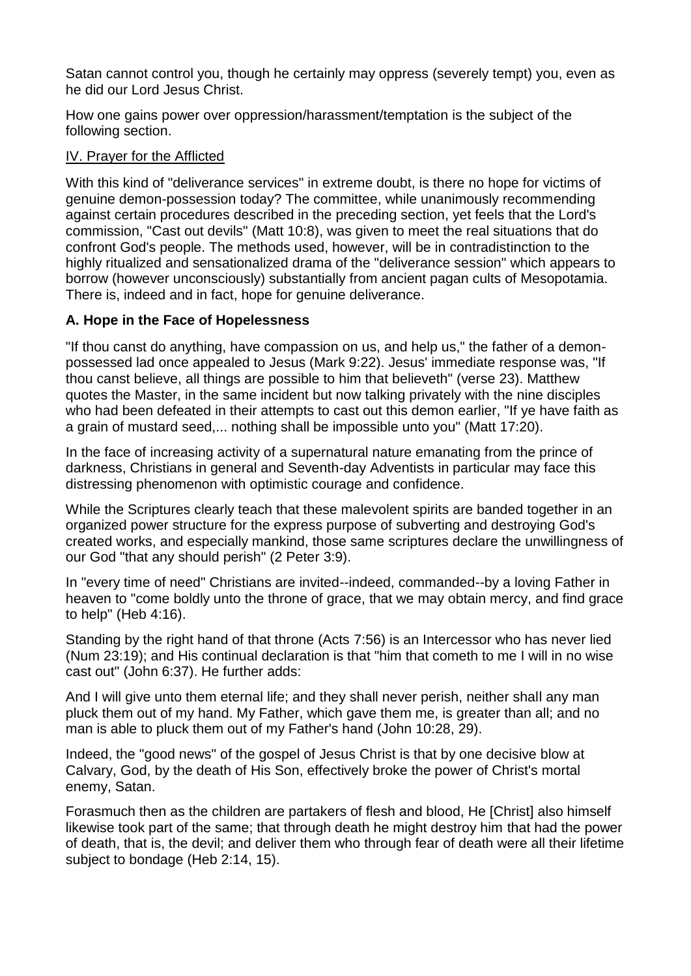Satan cannot control you, though he certainly may oppress (severely tempt) you, even as he did our Lord Jesus Christ.

How one gains power over oppression/harassment/temptation is the subject of the following section.

#### IV. Prayer for the Afflicted

With this kind of "deliverance services" in extreme doubt, is there no hope for victims of genuine demon-possession today? The committee, while unanimously recommending against certain procedures described in the preceding section, yet feels that the Lord's commission, "Cast out devils" (Matt 10:8), was given to meet the real situations that do confront God's people. The methods used, however, will be in contradistinction to the highly ritualized and sensationalized drama of the "deliverance session" which appears to borrow (however unconsciously) substantially from ancient pagan cults of Mesopotamia. There is, indeed and in fact, hope for genuine deliverance.

### **A. Hope in the Face of Hopelessness**

"If thou canst do anything, have compassion on us, and help us," the father of a demonpossessed lad once appealed to Jesus (Mark 9:22). Jesus' immediate response was, "If thou canst believe, all things are possible to him that believeth" (verse 23). Matthew quotes the Master, in the same incident but now talking privately with the nine disciples who had been defeated in their attempts to cast out this demon earlier, "If ye have faith as a grain of mustard seed,... nothing shall be impossible unto you" (Matt 17:20).

In the face of increasing activity of a supernatural nature emanating from the prince of darkness, Christians in general and Seventh-day Adventists in particular may face this distressing phenomenon with optimistic courage and confidence.

While the Scriptures clearly teach that these malevolent spirits are banded together in an organized power structure for the express purpose of subverting and destroying God's created works, and especially mankind, those same scriptures declare the unwillingness of our God "that any should perish" (2 Peter 3:9).

In "every time of need" Christians are invited--indeed, commanded--by a loving Father in heaven to "come boldly unto the throne of grace, that we may obtain mercy, and find grace to help" (Heb 4:16).

Standing by the right hand of that throne (Acts 7:56) is an Intercessor who has never lied (Num 23:19); and His continual declaration is that "him that cometh to me I will in no wise cast out" (John 6:37). He further adds:

And I will give unto them eternal life; and they shall never perish, neither shall any man pluck them out of my hand. My Father, which gave them me, is greater than all; and no man is able to pluck them out of my Father's hand (John 10:28, 29).

Indeed, the "good news" of the gospel of Jesus Christ is that by one decisive blow at Calvary, God, by the death of His Son, effectively broke the power of Christ's mortal enemy, Satan.

Forasmuch then as the children are partakers of flesh and blood, He [Christ] also himself likewise took part of the same; that through death he might destroy him that had the power of death, that is, the devil; and deliver them who through fear of death were all their lifetime subject to bondage (Heb 2:14, 15).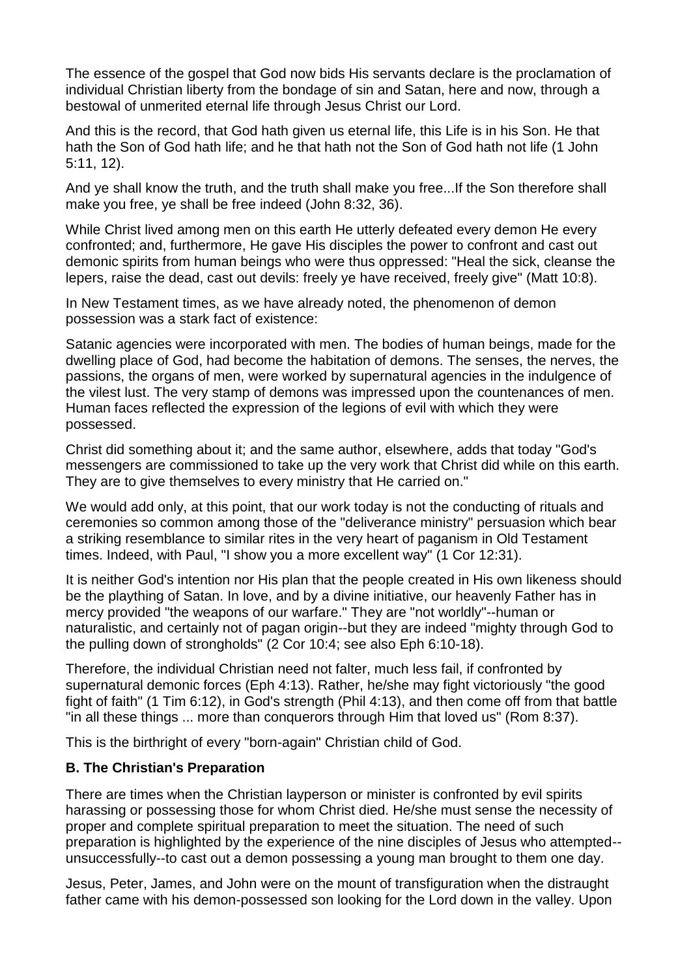The essence of the gospel that God now bids His servants declare is the proclamation of individual Christian liberty from the bondage of sin and Satan, here and now, through a bestowal of unmerited eternal life through Jesus Christ our Lord.

And this is the record, that God hath given us eternal life, this Life is in his Son. He that hath the Son of God hath life; and he that hath not the Son of God hath not life (1 John 5:11, 12).

And ye shall know the truth, and the truth shall make you free...If the Son therefore shall make you free, ye shall be free indeed (John 8:32, 36).

While Christ lived among men on this earth He utterly defeated every demon He every confronted; and, furthermore, He gave His disciples the power to confront and cast out demonic spirits from human beings who were thus oppressed: "Heal the sick, cleanse the lepers, raise the dead, cast out devils: freely ye have received, freely give" (Matt 10:8).

In New Testament times, as we have already noted, the phenomenon of demon possession was a stark fact of existence:

Satanic agencies were incorporated with men. The bodies of human beings, made for the dwelling place of God, had become the habitation of demons. The senses, the nerves, the passions, the organs of men, were worked by supernatural agencies in the indulgence of the vilest lust. The very stamp of demons was impressed upon the countenances of men. Human faces reflected the expression of the legions of evil with which they were possessed.

Christ did something about it; and the same author, elsewhere, adds that today "God's messengers are commissioned to take up the very work that Christ did while on this earth. They are to give themselves to every ministry that He carried on."

We would add only, at this point, that our work today is not the conducting of rituals and ceremonies so common among those of the "deliverance ministry" persuasion which bear a striking resemblance to similar rites in the very heart of paganism in Old Testament times. Indeed, with Paul, "I show you a more excellent way" (1 Cor 12:31).

It is neither God's intention nor His plan that the people created in His own likeness should be the plaything of Satan. In love, and by a divine initiative, our heavenly Father has in mercy provided "the weapons of our warfare." They are "not worldly"--human or naturalistic, and certainly not of pagan origin--but they are indeed "mighty through God to the pulling down of strongholds" (2 Cor 10:4; see also Eph 6:10-18).

Therefore, the individual Christian need not falter, much less fail, if confronted by supernatural demonic forces (Eph 4:13). Rather, he/she may fight victoriously "the good fight of faith" (1 Tim 6:12), in God's strength (Phil 4:13), and then come off from that battle "in all these things ... more than conquerors through Him that loved us" (Rom 8:37).

This is the birthright of every "born-again" Christian child of God.

#### **B. The Christian's Preparation**

There are times when the Christian layperson or minister is confronted by evil spirits harassing or possessing those for whom Christ died. He/she must sense the necessity of proper and complete spiritual preparation to meet the situation. The need of such preparation is highlighted by the experience of the nine disciples of Jesus who attempted- unsuccessfully--to cast out a demon possessing a young man brought to them one day.

Jesus, Peter, James, and John were on the mount of transfiguration when the distraught father came with his demon-possessed son looking for the Lord down in the valley. Upon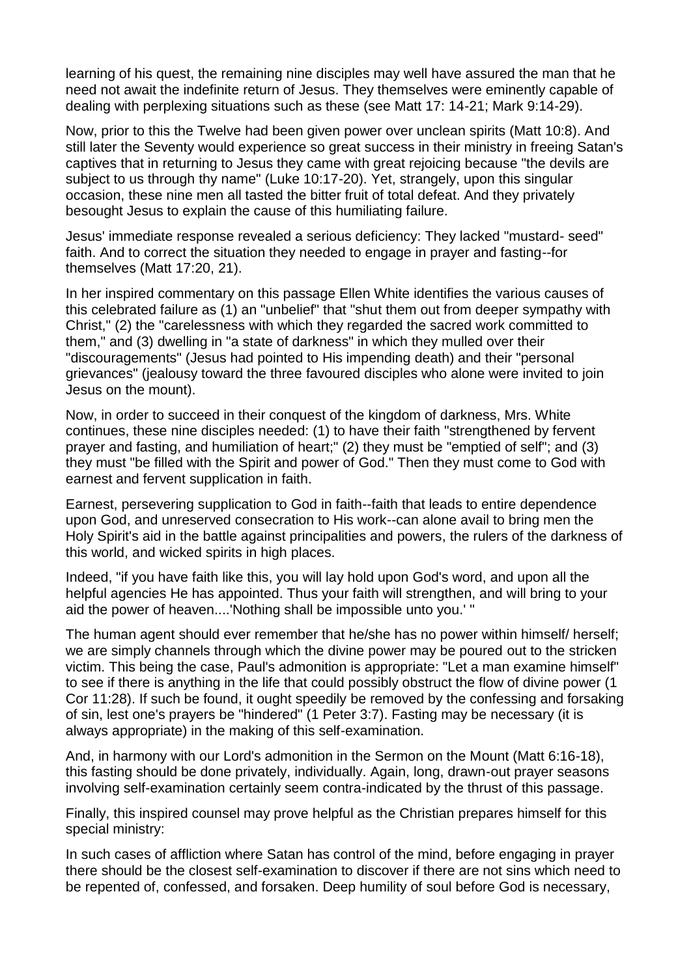learning of his quest, the remaining nine disciples may well have assured the man that he need not await the indefinite return of Jesus. They themselves were eminently capable of dealing with perplexing situations such as these (see Matt 17: 14-21; Mark 9:14-29).

Now, prior to this the Twelve had been given power over unclean spirits (Matt 10:8). And still later the Seventy would experience so great success in their ministry in freeing Satan's captives that in returning to Jesus they came with great rejoicing because "the devils are subject to us through thy name" (Luke 10:17-20). Yet, strangely, upon this singular occasion, these nine men all tasted the bitter fruit of total defeat. And they privately besought Jesus to explain the cause of this humiliating failure.

Jesus' immediate response revealed a serious deficiency: They lacked "mustard- seed" faith. And to correct the situation they needed to engage in prayer and fasting--for themselves (Matt 17:20, 21).

In her inspired commentary on this passage Ellen White identifies the various causes of this celebrated failure as (1) an "unbelief" that "shut them out from deeper sympathy with Christ," (2) the "carelessness with which they regarded the sacred work committed to them," and (3) dwelling in "a state of darkness" in which they mulled over their "discouragements" (Jesus had pointed to His impending death) and their "personal grievances" (jealousy toward the three favoured disciples who alone were invited to join Jesus on the mount).

Now, in order to succeed in their conquest of the kingdom of darkness, Mrs. White continues, these nine disciples needed: (1) to have their faith "strengthened by fervent prayer and fasting, and humiliation of heart;" (2) they must be "emptied of self"; and (3) they must "be filled with the Spirit and power of God." Then they must come to God with earnest and fervent supplication in faith.

Earnest, persevering supplication to God in faith--faith that leads to entire dependence upon God, and unreserved consecration to His work--can alone avail to bring men the Holy Spirit's aid in the battle against principalities and powers, the rulers of the darkness of this world, and wicked spirits in high places.

Indeed, "if you have faith like this, you will lay hold upon God's word, and upon all the helpful agencies He has appointed. Thus your faith will strengthen, and will bring to your aid the power of heaven....'Nothing shall be impossible unto you.' "

The human agent should ever remember that he/she has no power within himself/ herself; we are simply channels through which the divine power may be poured out to the stricken victim. This being the case, Paul's admonition is appropriate: "Let a man examine himself" to see if there is anything in the life that could possibly obstruct the flow of divine power (1 Cor 11:28). If such be found, it ought speedily be removed by the confessing and forsaking of sin, lest one's prayers be "hindered" (1 Peter 3:7). Fasting may be necessary (it is always appropriate) in the making of this self-examination.

And, in harmony with our Lord's admonition in the Sermon on the Mount (Matt 6:16-18), this fasting should be done privately, individually. Again, long, drawn-out prayer seasons involving self-examination certainly seem contra-indicated by the thrust of this passage.

Finally, this inspired counsel may prove helpful as the Christian prepares himself for this special ministry:

In such cases of affliction where Satan has control of the mind, before engaging in prayer there should be the closest self-examination to discover if there are not sins which need to be repented of, confessed, and forsaken. Deep humility of soul before God is necessary,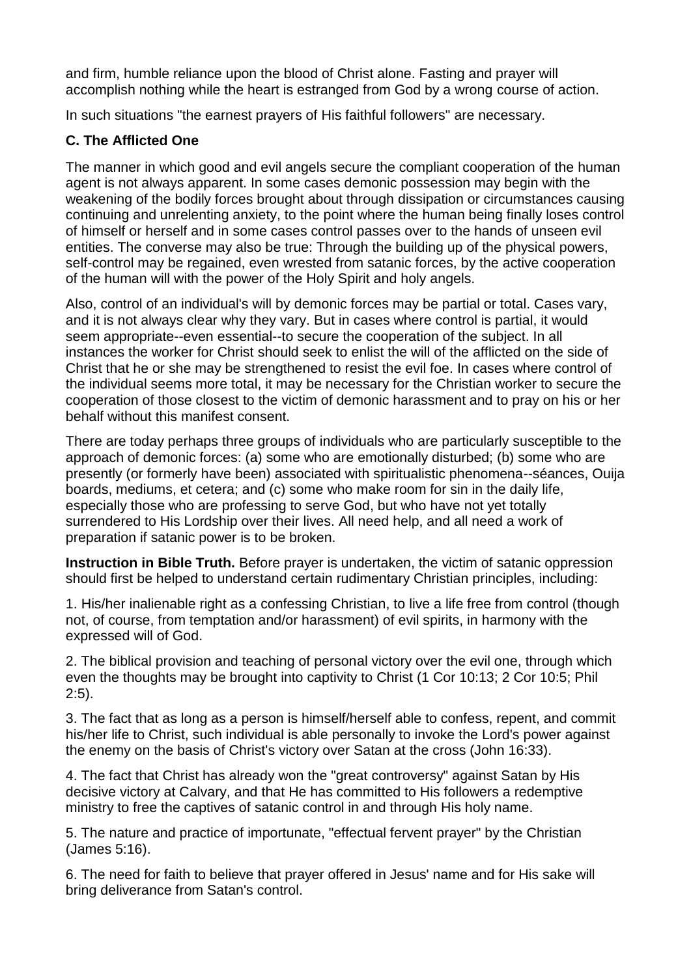and firm, humble reliance upon the blood of Christ alone. Fasting and prayer will accomplish nothing while the heart is estranged from God by a wrong course of action.

In such situations "the earnest prayers of His faithful followers" are necessary.

# **C. The Afflicted One**

The manner in which good and evil angels secure the compliant cooperation of the human agent is not always apparent. In some cases demonic possession may begin with the weakening of the bodily forces brought about through dissipation or circumstances causing continuing and unrelenting anxiety, to the point where the human being finally loses control of himself or herself and in some cases control passes over to the hands of unseen evil entities. The converse may also be true: Through the building up of the physical powers, self-control may be regained, even wrested from satanic forces, by the active cooperation of the human will with the power of the Holy Spirit and holy angels.

Also, control of an individual's will by demonic forces may be partial or total. Cases vary, and it is not always clear why they vary. But in cases where control is partial, it would seem appropriate--even essential--to secure the cooperation of the subject. In all instances the worker for Christ should seek to enlist the will of the afflicted on the side of Christ that he or she may be strengthened to resist the evil foe. In cases where control of the individual seems more total, it may be necessary for the Christian worker to secure the cooperation of those closest to the victim of demonic harassment and to pray on his or her behalf without this manifest consent.

There are today perhaps three groups of individuals who are particularly susceptible to the approach of demonic forces: (a) some who are emotionally disturbed; (b) some who are presently (or formerly have been) associated with spiritualistic phenomena--séances, Ouija boards, mediums, et cetera; and (c) some who make room for sin in the daily life, especially those who are professing to serve God, but who have not yet totally surrendered to His Lordship over their lives. All need help, and all need a work of preparation if satanic power is to be broken.

**Instruction in Bible Truth.** Before prayer is undertaken, the victim of satanic oppression should first be helped to understand certain rudimentary Christian principles, including:

1. His/her inalienable right as a confessing Christian, to live a life free from control (though not, of course, from temptation and/or harassment) of evil spirits, in harmony with the expressed will of God.

2. The biblical provision and teaching of personal victory over the evil one, through which even the thoughts may be brought into captivity to Christ (1 Cor 10:13; 2 Cor 10:5; Phil 2:5).

3. The fact that as long as a person is himself/herself able to confess, repent, and commit his/her life to Christ, such individual is able personally to invoke the Lord's power against the enemy on the basis of Christ's victory over Satan at the cross (John 16:33).

4. The fact that Christ has already won the "great controversy" against Satan by His decisive victory at Calvary, and that He has committed to His followers a redemptive ministry to free the captives of satanic control in and through His holy name.

5. The nature and practice of importunate, "effectual fervent prayer" by the Christian (James 5:16).

6. The need for faith to believe that prayer offered in Jesus' name and for His sake will bring deliverance from Satan's control.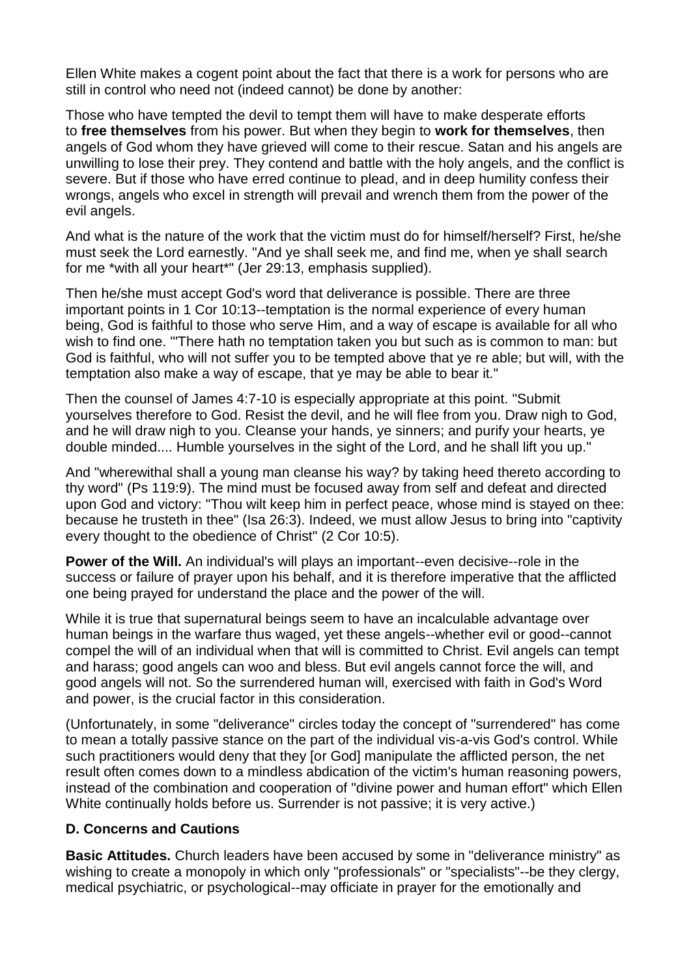Ellen White makes a cogent point about the fact that there is a work for persons who are still in control who need not (indeed cannot) be done by another:

Those who have tempted the devil to tempt them will have to make desperate efforts to **free themselves** from his power. But when they begin to **work for themselves**, then angels of God whom they have grieved will come to their rescue. Satan and his angels are unwilling to lose their prey. They contend and battle with the holy angels, and the conflict is severe. But if those who have erred continue to plead, and in deep humility confess their wrongs, angels who excel in strength will prevail and wrench them from the power of the evil angels.

And what is the nature of the work that the victim must do for himself/herself? First, he/she must seek the Lord earnestly. "And ye shall seek me, and find me, when ye shall search for me \*with all your heart\*" (Jer 29:13, emphasis supplied).

Then he/she must accept God's word that deliverance is possible. There are three important points in 1 Cor 10:13--temptation is the normal experience of every human being, God is faithful to those who serve Him, and a way of escape is available for all who wish to find one. '"There hath no temptation taken you but such as is common to man: but God is faithful, who will not suffer you to be tempted above that ye re able; but will, with the temptation also make a way of escape, that ye may be able to bear it."

Then the counsel of James 4:7-10 is especially appropriate at this point. "Submit yourselves therefore to God. Resist the devil, and he will flee from you. Draw nigh to God, and he will draw nigh to you. Cleanse your hands, ye sinners; and purify your hearts, ye double minded.... Humble yourselves in the sight of the Lord, and he shall lift you up."

And "wherewithal shall a young man cleanse his way? by taking heed thereto according to thy word" (Ps 119:9). The mind must be focused away from self and defeat and directed upon God and victory: "Thou wilt keep him in perfect peace, whose mind is stayed on thee: because he trusteth in thee" (Isa 26:3). Indeed, we must allow Jesus to bring into "captivity every thought to the obedience of Christ" (2 Cor 10:5).

**Power of the Will.** An individual's will plays an important--even decisive--role in the success or failure of prayer upon his behalf, and it is therefore imperative that the afflicted one being prayed for understand the place and the power of the will.

While it is true that supernatural beings seem to have an incalculable advantage over human beings in the warfare thus waged, yet these angels--whether evil or good--cannot compel the will of an individual when that will is committed to Christ. Evil angels can tempt and harass; good angels can woo and bless. But evil angels cannot force the will, and good angels will not. So the surrendered human will, exercised with faith in God's Word and power, is the crucial factor in this consideration.

(Unfortunately, in some "deliverance" circles today the concept of "surrendered" has come to mean a totally passive stance on the part of the individual vis-a-vis God's control. While such practitioners would deny that they [or God] manipulate the afflicted person, the net result often comes down to a mindless abdication of the victim's human reasoning powers, instead of the combination and cooperation of "divine power and human effort" which Ellen White continually holds before us. Surrender is not passive; it is very active.)

### **D. Concerns and Cautions**

**Basic Attitudes.** Church leaders have been accused by some in "deliverance ministry" as wishing to create a monopoly in which only "professionals" or "specialists"--be they clergy, medical psychiatric, or psychological--may officiate in prayer for the emotionally and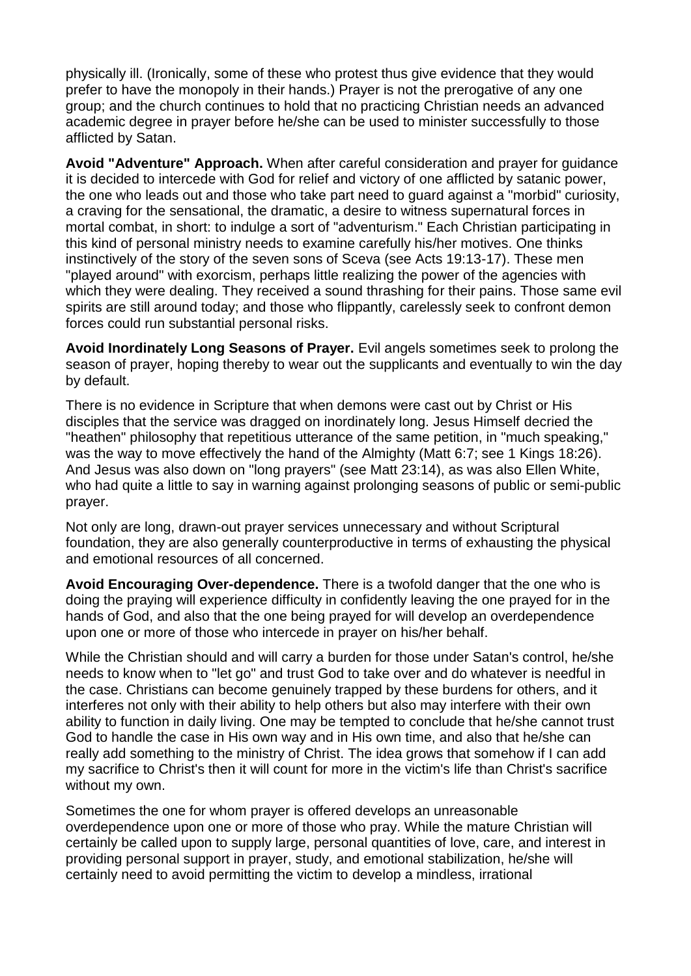physically ill. (Ironically, some of these who protest thus give evidence that they would prefer to have the monopoly in their hands.) Prayer is not the prerogative of any one group; and the church continues to hold that no practicing Christian needs an advanced academic degree in prayer before he/she can be used to minister successfully to those afflicted by Satan.

**Avoid "Adventure" Approach.** When after careful consideration and prayer for guidance it is decided to intercede with God for relief and victory of one afflicted by satanic power, the one who leads out and those who take part need to guard against a "morbid" curiosity, a craving for the sensational, the dramatic, a desire to witness supernatural forces in mortal combat, in short: to indulge a sort of "adventurism." Each Christian participating in this kind of personal ministry needs to examine carefully his/her motives. One thinks instinctively of the story of the seven sons of Sceva (see Acts 19:13-17). These men "played around" with exorcism, perhaps little realizing the power of the agencies with which they were dealing. They received a sound thrashing for their pains. Those same evil spirits are still around today; and those who flippantly, carelessly seek to confront demon forces could run substantial personal risks.

**Avoid Inordinately Long Seasons of Prayer.** Evil angels sometimes seek to prolong the season of prayer, hoping thereby to wear out the supplicants and eventually to win the day by default.

There is no evidence in Scripture that when demons were cast out by Christ or His disciples that the service was dragged on inordinately long. Jesus Himself decried the "heathen" philosophy that repetitious utterance of the same petition, in "much speaking," was the way to move effectively the hand of the Almighty (Matt 6:7; see 1 Kings 18:26). And Jesus was also down on "long prayers" (see Matt 23:14), as was also Ellen White, who had quite a little to say in warning against prolonging seasons of public or semi-public prayer.

Not only are long, drawn-out prayer services unnecessary and without Scriptural foundation, they are also generally counterproductive in terms of exhausting the physical and emotional resources of all concerned.

**Avoid Encouraging Over-dependence.** There is a twofold danger that the one who is doing the praying will experience difficulty in confidently leaving the one prayed for in the hands of God, and also that the one being prayed for will develop an overdependence upon one or more of those who intercede in prayer on his/her behalf.

While the Christian should and will carry a burden for those under Satan's control, he/she needs to know when to "let go" and trust God to take over and do whatever is needful in the case. Christians can become genuinely trapped by these burdens for others, and it interferes not only with their ability to help others but also may interfere with their own ability to function in daily living. One may be tempted to conclude that he/she cannot trust God to handle the case in His own way and in His own time, and also that he/she can really add something to the ministry of Christ. The idea grows that somehow if I can add my sacrifice to Christ's then it will count for more in the victim's life than Christ's sacrifice without my own.

Sometimes the one for whom prayer is offered develops an unreasonable overdependence upon one or more of those who pray. While the mature Christian will certainly be called upon to supply large, personal quantities of love, care, and interest in providing personal support in prayer, study, and emotional stabilization, he/she will certainly need to avoid permitting the victim to develop a mindless, irrational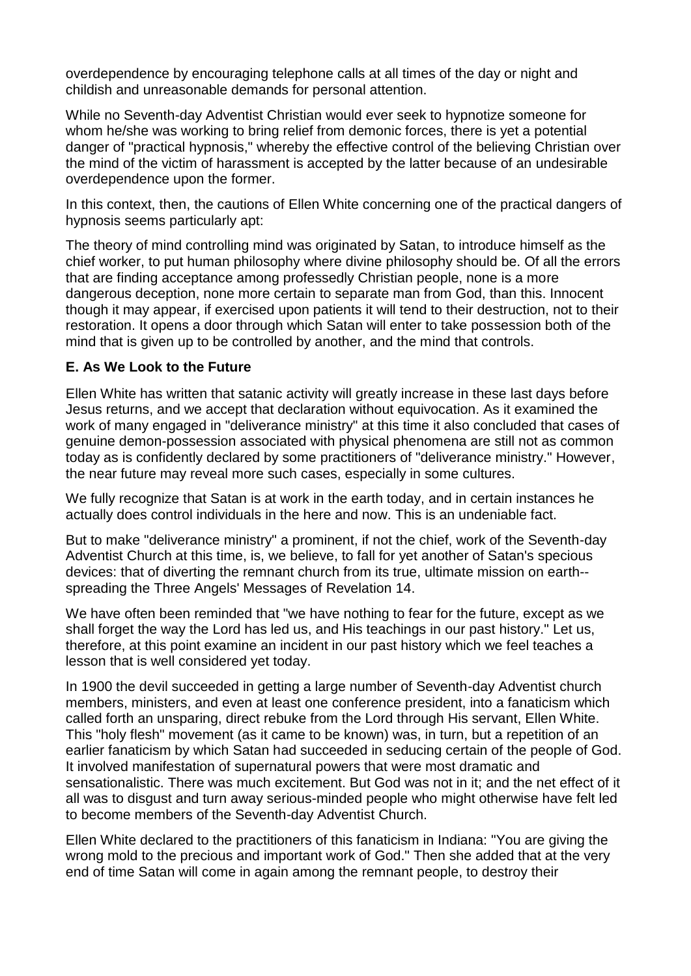overdependence by encouraging telephone calls at all times of the day or night and childish and unreasonable demands for personal attention.

While no Seventh-day Adventist Christian would ever seek to hypnotize someone for whom he/she was working to bring relief from demonic forces, there is yet a potential danger of "practical hypnosis," whereby the effective control of the believing Christian over the mind of the victim of harassment is accepted by the latter because of an undesirable overdependence upon the former.

In this context, then, the cautions of Ellen White concerning one of the practical dangers of hypnosis seems particularly apt:

The theory of mind controlling mind was originated by Satan, to introduce himself as the chief worker, to put human philosophy where divine philosophy should be. Of all the errors that are finding acceptance among professedly Christian people, none is a more dangerous deception, none more certain to separate man from God, than this. Innocent though it may appear, if exercised upon patients it will tend to their destruction, not to their restoration. It opens a door through which Satan will enter to take possession both of the mind that is given up to be controlled by another, and the mind that controls.

# **E. As We Look to the Future**

Ellen White has written that satanic activity will greatly increase in these last days before Jesus returns, and we accept that declaration without equivocation. As it examined the work of many engaged in "deliverance ministry" at this time it also concluded that cases of genuine demon-possession associated with physical phenomena are still not as common today as is confidently declared by some practitioners of "deliverance ministry." However, the near future may reveal more such cases, especially in some cultures.

We fully recognize that Satan is at work in the earth today, and in certain instances he actually does control individuals in the here and now. This is an undeniable fact.

But to make "deliverance ministry" a prominent, if not the chief, work of the Seventh-day Adventist Church at this time, is, we believe, to fall for yet another of Satan's specious devices: that of diverting the remnant church from its true, ultimate mission on earth- spreading the Three Angels' Messages of Revelation 14.

We have often been reminded that "we have nothing to fear for the future, except as we shall forget the way the Lord has led us, and His teachings in our past history." Let us, therefore, at this point examine an incident in our past history which we feel teaches a lesson that is well considered yet today.

In 1900 the devil succeeded in getting a large number of Seventh-day Adventist church members, ministers, and even at least one conference president, into a fanaticism which called forth an unsparing, direct rebuke from the Lord through His servant, Ellen White. This "holy flesh" movement (as it came to be known) was, in turn, but a repetition of an earlier fanaticism by which Satan had succeeded in seducing certain of the people of God. It involved manifestation of supernatural powers that were most dramatic and sensationalistic. There was much excitement. But God was not in it; and the net effect of it all was to disgust and turn away serious-minded people who might otherwise have felt led to become members of the Seventh-day Adventist Church.

Ellen White declared to the practitioners of this fanaticism in Indiana: "You are giving the wrong mold to the precious and important work of God." Then she added that at the very end of time Satan will come in again among the remnant people, to destroy their